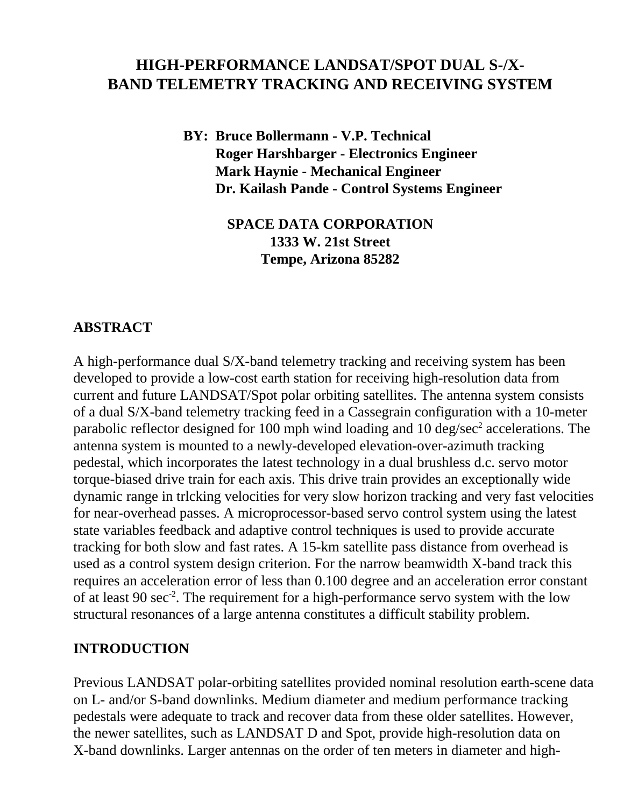# **HIGH-PERFORMANCE LANDSAT/SPOT DUAL S-/X-BAND TELEMETRY TRACKING AND RECEIVING SYSTEM**

**BY: Bruce Bollermann - V.P. Technical Roger Harshbarger - Electronics Engineer Mark Haynie - Mechanical Engineer Dr. Kailash Pande - Control Systems Engineer**

> **SPACE DATA CORPORATION 1333 W. 21st Street Tempe, Arizona 85282**

#### **ABSTRACT**

A high-performance dual S/X-band telemetry tracking and receiving system has been developed to provide a low-cost earth station for receiving high-resolution data from current and future LANDSAT/Spot polar orbiting satellites. The antenna system consists of a dual S/X-band telemetry tracking feed in a Cassegrain configuration with a 10-meter parabolic reflector designed for 100 mph wind loading and 10 deg/sec $2$  accelerations. The antenna system is mounted to a newly-developed elevation-over-azimuth tracking pedestal, which incorporates the latest technology in a dual brushless d.c. servo motor torque-biased drive train for each axis. This drive train provides an exceptionally wide dynamic range in trlcking velocities for very slow horizon tracking and very fast velocities for near-overhead passes. A microprocessor-based servo control system using the latest state variables feedback and adaptive control techniques is used to provide accurate tracking for both slow and fast rates. A 15-km satellite pass distance from overhead is used as a control system design criterion. For the narrow beamwidth X-band track this requires an acceleration error of less than 0.100 degree and an acceleration error constant of at least 90 sec<sup>-2</sup>. The requirement for a high-performance servo system with the low structural resonances of a large antenna constitutes a difficult stability problem.

#### **INTRODUCTION**

Previous LANDSAT polar-orbiting satellites provided nominal resolution earth-scene data on L- and/or S-band downlinks. Medium diameter and medium performance tracking pedestals were adequate to track and recover data from these older satellites. However, the newer satellites, such as LANDSAT D and Spot, provide high-resolution data on X-band downlinks. Larger antennas on the order of ten meters in diameter and high-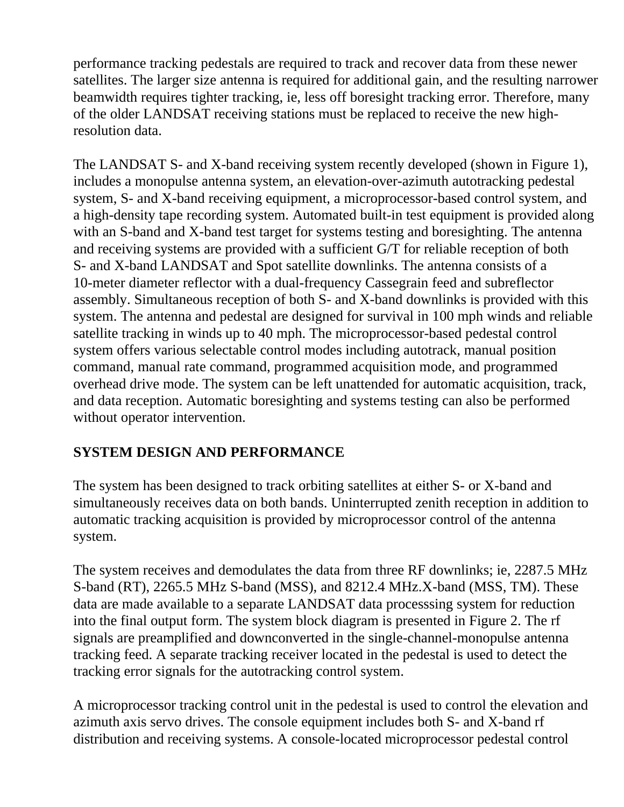performance tracking pedestals are required to track and recover data from these newer satellites. The larger size antenna is required for additional gain, and the resulting narrower beamwidth requires tighter tracking, ie, less off boresight tracking error. Therefore, many of the older LANDSAT receiving stations must be replaced to receive the new highresolution data.

The LANDSAT S- and X-band receiving system recently developed (shown in Figure 1), includes a monopulse antenna system, an elevation-over-azimuth autotracking pedestal system, S- and X-band receiving equipment, a microprocessor-based control system, and a high-density tape recording system. Automated built-in test equipment is provided along with an S-band and X-band test target for systems testing and boresighting. The antenna and receiving systems are provided with a sufficient G/T for reliable reception of both S- and X-band LANDSAT and Spot satellite downlinks. The antenna consists of a 10-meter diameter reflector with a dual-frequency Cassegrain feed and subreflector assembly. Simultaneous reception of both S- and X-band downlinks is provided with this system. The antenna and pedestal are designed for survival in 100 mph winds and reliable satellite tracking in winds up to 40 mph. The microprocessor-based pedestal control system offers various selectable control modes including autotrack, manual position command, manual rate command, programmed acquisition mode, and programmed overhead drive mode. The system can be left unattended for automatic acquisition, track, and data reception. Automatic boresighting and systems testing can also be performed without operator intervention.

# **SYSTEM DESIGN AND PERFORMANCE**

The system has been designed to track orbiting satellites at either S- or X-band and simultaneously receives data on both bands. Uninterrupted zenith reception in addition to automatic tracking acquisition is provided by microprocessor control of the antenna system.

The system receives and demodulates the data from three RF downlinks; ie, 2287.5 MHz S-band (RT), 2265.5 MHz S-band (MSS), and 8212.4 MHz.X-band (MSS, TM). These data are made available to a separate LANDSAT data processsing system for reduction into the final output form. The system block diagram is presented in Figure 2. The rf signals are preamplified and downconverted in the single-channel-monopulse antenna tracking feed. A separate tracking receiver located in the pedestal is used to detect the tracking error signals for the autotracking control system.

A microprocessor tracking control unit in the pedestal is used to control the elevation and azimuth axis servo drives. The console equipment includes both S- and X-band rf distribution and receiving systems. A console-located microprocessor pedestal control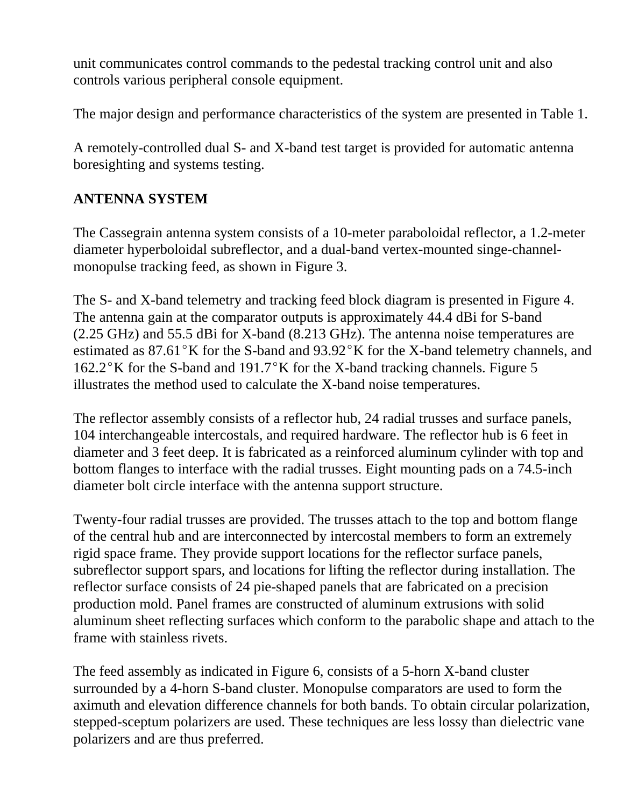unit communicates control commands to the pedestal tracking control unit and also controls various peripheral console equipment.

The major design and performance characteristics of the system are presented in Table 1.

A remotely-controlled dual S- and X-band test target is provided for automatic antenna boresighting and systems testing.

# **ANTENNA SYSTEM**

The Cassegrain antenna system consists of a 10-meter paraboloidal reflector, a 1.2-meter diameter hyperboloidal subreflector, and a dual-band vertex-mounted singe-channelmonopulse tracking feed, as shown in Figure 3.

The S- and X-band telemetry and tracking feed block diagram is presented in Figure 4. The antenna gain at the comparator outputs is approximately 44.4 dBi for S-band (2.25 GHz) and 55.5 dBi for X-band (8.213 GHz). The antenna noise temperatures are estimated as  $87.61^{\circ}$ K for the S-band and  $93.92^{\circ}$ K for the X-band telemetry channels, and  $162.2^{\circ}$ K for the S-band and  $191.7^{\circ}$ K for the X-band tracking channels. Figure 5 illustrates the method used to calculate the X-band noise temperatures.

The reflector assembly consists of a reflector hub, 24 radial trusses and surface panels, 104 interchangeable intercostals, and required hardware. The reflector hub is 6 feet in diameter and 3 feet deep. It is fabricated as a reinforced aluminum cylinder with top and bottom flanges to interface with the radial trusses. Eight mounting pads on a 74.5-inch diameter bolt circle interface with the antenna support structure.

Twenty-four radial trusses are provided. The trusses attach to the top and bottom flange of the central hub and are interconnected by intercostal members to form an extremely rigid space frame. They provide support locations for the reflector surface panels, subreflector support spars, and locations for lifting the reflector during installation. The reflector surface consists of 24 pie-shaped panels that are fabricated on a precision production mold. Panel frames are constructed of aluminum extrusions with solid aluminum sheet reflecting surfaces which conform to the parabolic shape and attach to the frame with stainless rivets.

The feed assembly as indicated in Figure 6, consists of a 5-horn X-band cluster surrounded by a 4-horn S-band cluster. Monopulse comparators are used to form the aximuth and elevation difference channels for both bands. To obtain circular polarization, stepped-sceptum polarizers are used. These techniques are less lossy than dielectric vane polarizers and are thus preferred.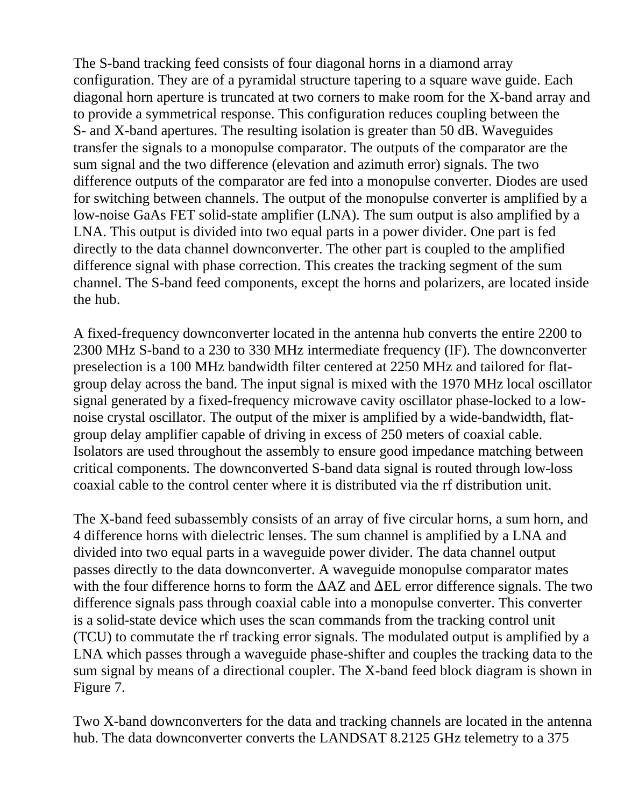The S-band tracking feed consists of four diagonal horns in a diamond array configuration. They are of a pyramidal structure tapering to a square wave guide. Each diagonal horn aperture is truncated at two corners to make room for the X-band array and to provide a symmetrical response. This configuration reduces coupling between the S- and X-band apertures. The resulting isolation is greater than 50 dB. Waveguides transfer the signals to a monopulse comparator. The outputs of the comparator are the sum signal and the two difference (elevation and azimuth error) signals. The two difference outputs of the comparator are fed into a monopulse converter. Diodes are used for switching between channels. The output of the monopulse converter is amplified by a low-noise GaAs FET solid-state amplifier (LNA). The sum output is also amplified by a LNA. This output is divided into two equal parts in a power divider. One part is fed directly to the data channel downconverter. The other part is coupled to the amplified difference signal with phase correction. This creates the tracking segment of the sum channel. The S-band feed components, except the horns and polarizers, are located inside the hub.

A fixed-frequency downconverter located in the antenna hub converts the entire 2200 to 2300 MHz S-band to a 230 to 330 MHz intermediate frequency (IF). The downconverter preselection is a 100 MHz bandwidth filter centered at 2250 MHz and tailored for flatgroup delay across the band. The input signal is mixed with the 1970 MHz local oscillator signal generated by a fixed-frequency microwave cavity oscillator phase-locked to a lownoise crystal oscillator. The output of the mixer is amplified by a wide-bandwidth, flatgroup delay amplifier capable of driving in excess of 250 meters of coaxial cable. Isolators are used throughout the assembly to ensure good impedance matching between critical components. The downconverted S-band data signal is routed through low-loss coaxial cable to the control center where it is distributed via the rf distribution unit.

The X-band feed subassembly consists of an array of five circular horns, a sum horn, and 4 difference horns with dielectric lenses. The sum channel is amplified by a LNA and divided into two equal parts in a waveguide power divider. The data channel output passes directly to the data downconverter. A waveguide monopulse comparator mates with the four difference horns to form the  $\Delta AZ$  and  $\Delta EL$  error difference signals. The two difference signals pass through coaxial cable into a monopulse converter. This converter is a solid-state device which uses the scan commands from the tracking control unit (TCU) to commutate the rf tracking error signals. The modulated output is amplified by a LNA which passes through a waveguide phase-shifter and couples the tracking data to the sum signal by means of a directional coupler. The X-band feed block diagram is shown in Figure 7.

Two X-band downconverters for the data and tracking channels are located in the antenna hub. The data downconverter converts the LANDSAT 8.2125 GHz telemetry to a 375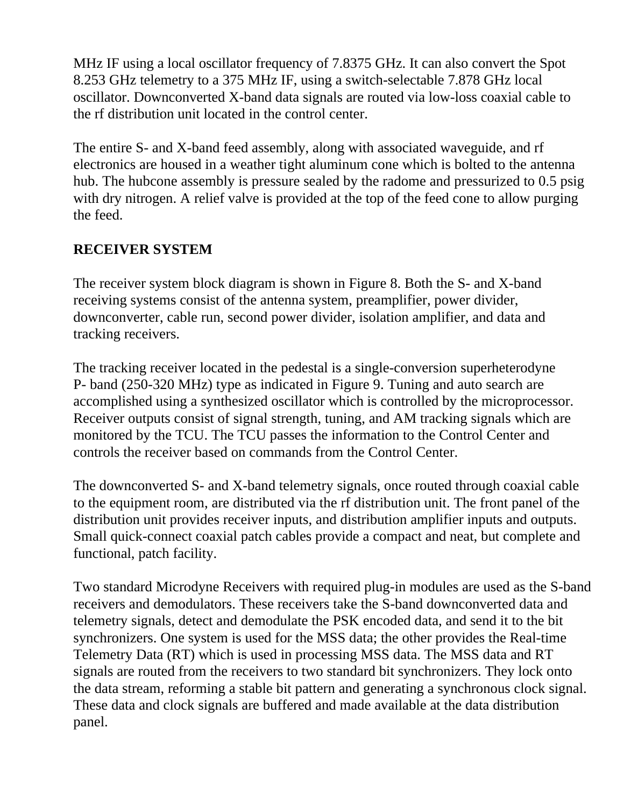MHz IF using a local oscillator frequency of 7.8375 GHz. It can also convert the Spot 8.253 GHz telemetry to a 375 MHz IF, using a switch-selectable 7.878 GHz local oscillator. Downconverted X-band data signals are routed via low-loss coaxial cable to the rf distribution unit located in the control center.

The entire S- and X-band feed assembly, along with associated waveguide, and rf electronics are housed in a weather tight aluminum cone which is bolted to the antenna hub. The hubcone assembly is pressure sealed by the radome and pressurized to 0.5 psig with dry nitrogen. A relief valve is provided at the top of the feed cone to allow purging the feed.

# **RECEIVER SYSTEM**

The receiver system block diagram is shown in Figure 8. Both the S- and X-band receiving systems consist of the antenna system, preamplifier, power divider, downconverter, cable run, second power divider, isolation amplifier, and data and tracking receivers.

The tracking receiver located in the pedestal is a single-conversion superheterodyne P- band (250-320 MHz) type as indicated in Figure 9. Tuning and auto search are accomplished using a synthesized oscillator which is controlled by the microprocessor. Receiver outputs consist of signal strength, tuning, and AM tracking signals which are monitored by the TCU. The TCU passes the information to the Control Center and controls the receiver based on commands from the Control Center.

The downconverted S- and X-band telemetry signals, once routed through coaxial cable to the equipment room, are distributed via the rf distribution unit. The front panel of the distribution unit provides receiver inputs, and distribution amplifier inputs and outputs. Small quick-connect coaxial patch cables provide a compact and neat, but complete and functional, patch facility.

Two standard Microdyne Receivers with required plug-in modules are used as the S-band receivers and demodulators. These receivers take the S-band downconverted data and telemetry signals, detect and demodulate the PSK encoded data, and send it to the bit synchronizers. One system is used for the MSS data; the other provides the Real-time Telemetry Data (RT) which is used in processing MSS data. The MSS data and RT signals are routed from the receivers to two standard bit synchronizers. They lock onto the data stream, reforming a stable bit pattern and generating a synchronous clock signal. These data and clock signals are buffered and made available at the data distribution panel.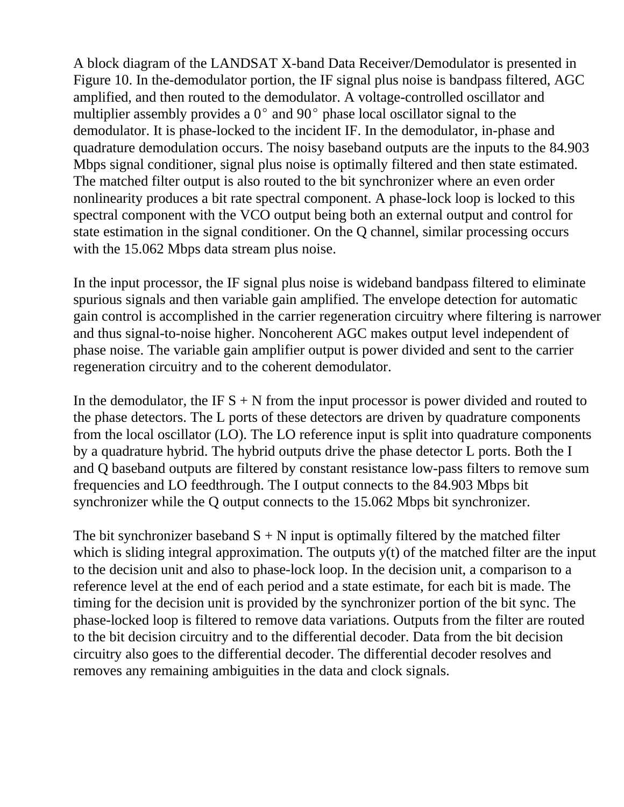A block diagram of the LANDSAT X-band Data Receiver/Demodulator is presented in Figure 10. In the-demodulator portion, the IF signal plus noise is bandpass filtered, AGC amplified, and then routed to the demodulator. A voltage-controlled oscillator and multiplier assembly provides a  $0^{\circ}$  and  $90^{\circ}$  phase local oscillator signal to the demodulator. It is phase-locked to the incident IF. In the demodulator, in-phase and quadrature demodulation occurs. The noisy baseband outputs are the inputs to the 84.903 Mbps signal conditioner, signal plus noise is optimally filtered and then state estimated. The matched filter output is also routed to the bit synchronizer where an even order nonlinearity produces a bit rate spectral component. A phase-lock loop is locked to this spectral component with the VCO output being both an external output and control for state estimation in the signal conditioner. On the Q channel, similar processing occurs with the 15.062 Mbps data stream plus noise.

In the input processor, the IF signal plus noise is wideband bandpass filtered to eliminate spurious signals and then variable gain amplified. The envelope detection for automatic gain control is accomplished in the carrier regeneration circuitry where filtering is narrower and thus signal-to-noise higher. Noncoherent AGC makes output level independent of phase noise. The variable gain amplifier output is power divided and sent to the carrier regeneration circuitry and to the coherent demodulator.

In the demodulator, the IF  $S + N$  from the input processor is power divided and routed to the phase detectors. The L ports of these detectors are driven by quadrature components from the local oscillator (LO). The LO reference input is split into quadrature components by a quadrature hybrid. The hybrid outputs drive the phase detector L ports. Both the I and Q baseband outputs are filtered by constant resistance low-pass filters to remove sum frequencies and LO feedthrough. The I output connects to the 84.903 Mbps bit synchronizer while the Q output connects to the 15.062 Mbps bit synchronizer.

The bit synchronizer baseband  $S + N$  input is optimally filtered by the matched filter which is sliding integral approximation. The outputs y(t) of the matched filter are the input to the decision unit and also to phase-lock loop. In the decision unit, a comparison to a reference level at the end of each period and a state estimate, for each bit is made. The timing for the decision unit is provided by the synchronizer portion of the bit sync. The phase-locked loop is filtered to remove data variations. Outputs from the filter are routed to the bit decision circuitry and to the differential decoder. Data from the bit decision circuitry also goes to the differential decoder. The differential decoder resolves and removes any remaining ambiguities in the data and clock signals.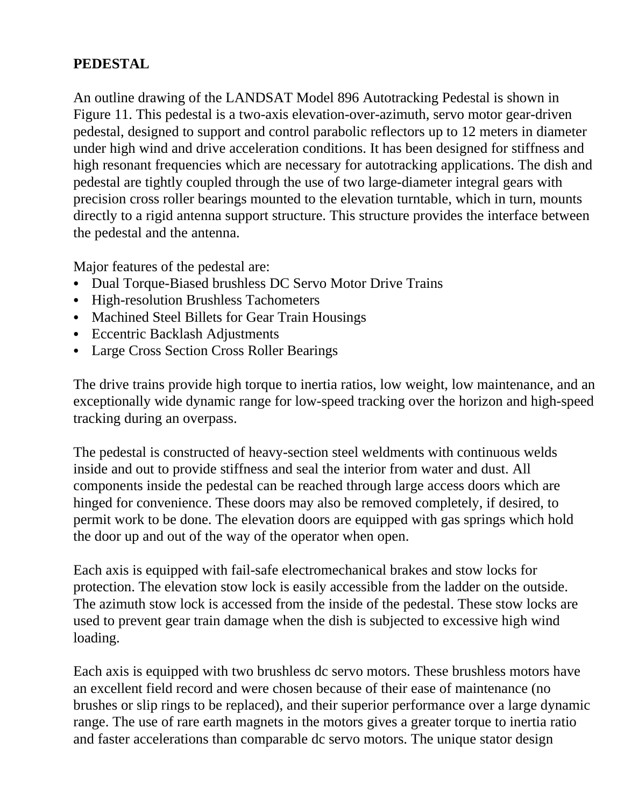# **PEDESTAL**

An outline drawing of the LANDSAT Model 896 Autotracking Pedestal is shown in Figure 11. This pedestal is a two-axis elevation-over-azimuth, servo motor gear-driven pedestal, designed to support and control parabolic reflectors up to 12 meters in diameter under high wind and drive acceleration conditions. It has been designed for stiffness and high resonant frequencies which are necessary for autotracking applications. The dish and pedestal are tightly coupled through the use of two large-diameter integral gears with precision cross roller bearings mounted to the elevation turntable, which in turn, mounts directly to a rigid antenna support structure. This structure provides the interface between the pedestal and the antenna.

Major features of the pedestal are:

- Dual Torque-Biased brushless DC Servo Motor Drive Trains
- High-resolution Brushless Tachometers
- Machined Steel Billets for Gear Train Housings
- Eccentric Backlash Adjustments
- Large Cross Section Cross Roller Bearings

The drive trains provide high torque to inertia ratios, low weight, low maintenance, and an exceptionally wide dynamic range for low-speed tracking over the horizon and high-speed tracking during an overpass.

The pedestal is constructed of heavy-section steel weldments with continuous welds inside and out to provide stiffness and seal the interior from water and dust. All components inside the pedestal can be reached through large access doors which are hinged for convenience. These doors may also be removed completely, if desired, to permit work to be done. The elevation doors are equipped with gas springs which hold the door up and out of the way of the operator when open.

Each axis is equipped with fail-safe electromechanical brakes and stow locks for protection. The elevation stow lock is easily accessible from the ladder on the outside. The azimuth stow lock is accessed from the inside of the pedestal. These stow locks are used to prevent gear train damage when the dish is subjected to excessive high wind loading.

Each axis is equipped with two brushless dc servo motors. These brushless motors have an excellent field record and were chosen because of their ease of maintenance (no brushes or slip rings to be replaced), and their superior performance over a large dynamic range. The use of rare earth magnets in the motors gives a greater torque to inertia ratio and faster accelerations than comparable dc servo motors. The unique stator design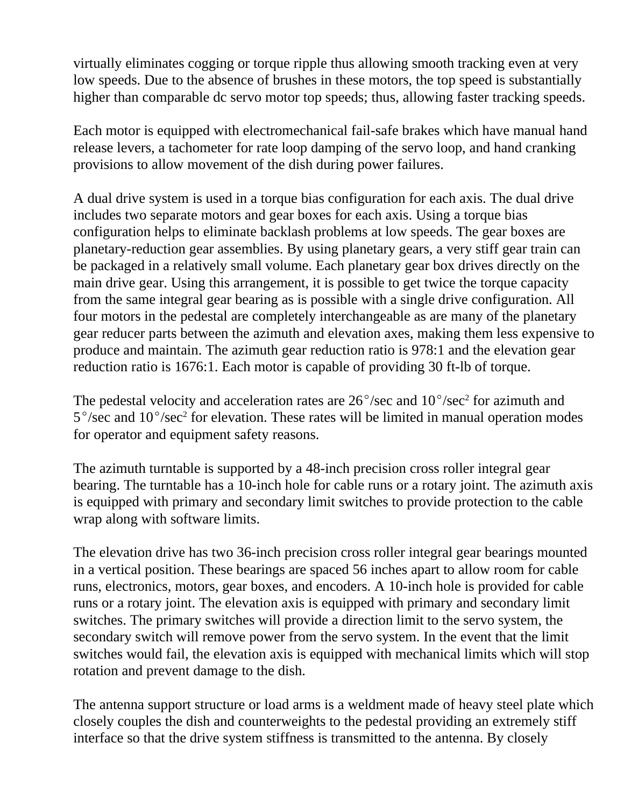virtually eliminates cogging or torque ripple thus allowing smooth tracking even at very low speeds. Due to the absence of brushes in these motors, the top speed is substantially higher than comparable dc servo motor top speeds; thus, allowing faster tracking speeds.

Each motor is equipped with electromechanical fail-safe brakes which have manual hand release levers, a tachometer for rate loop damping of the servo loop, and hand cranking provisions to allow movement of the dish during power failures.

A dual drive system is used in a torque bias configuration for each axis. The dual drive includes two separate motors and gear boxes for each axis. Using a torque bias configuration helps to eliminate backlash problems at low speeds. The gear boxes are planetary-reduction gear assemblies. By using planetary gears, a very stiff gear train can be packaged in a relatively small volume. Each planetary gear box drives directly on the main drive gear. Using this arrangement, it is possible to get twice the torque capacity from the same integral gear bearing as is possible with a single drive configuration. All four motors in the pedestal are completely interchangeable as are many of the planetary gear reducer parts between the azimuth and elevation axes, making them less expensive to produce and maintain. The azimuth gear reduction ratio is 978:1 and the elevation gear reduction ratio is 1676:1. Each motor is capable of providing 30 ft-lb of torque.

The pedestal velocity and acceleration rates are  $26^{\circ}/sec$  and  $10^{\circ}/sec^2$  for azimuth and  $5^{\circ}/sec$  and  $10^{\circ}/sec^2$  for elevation. These rates will be limited in manual operation modes for operator and equipment safety reasons.

The azimuth turntable is supported by a 48-inch precision cross roller integral gear bearing. The turntable has a 10-inch hole for cable runs or a rotary joint. The azimuth axis is equipped with primary and secondary limit switches to provide protection to the cable wrap along with software limits.

The elevation drive has two 36-inch precision cross roller integral gear bearings mounted in a vertical position. These bearings are spaced 56 inches apart to allow room for cable runs, electronics, motors, gear boxes, and encoders. A 10-inch hole is provided for cable runs or a rotary joint. The elevation axis is equipped with primary and secondary limit switches. The primary switches will provide a direction limit to the servo system, the secondary switch will remove power from the servo system. In the event that the limit switches would fail, the elevation axis is equipped with mechanical limits which will stop rotation and prevent damage to the dish.

The antenna support structure or load arms is a weldment made of heavy steel plate which closely couples the dish and counterweights to the pedestal providing an extremely stiff interface so that the drive system stiffness is transmitted to the antenna. By closely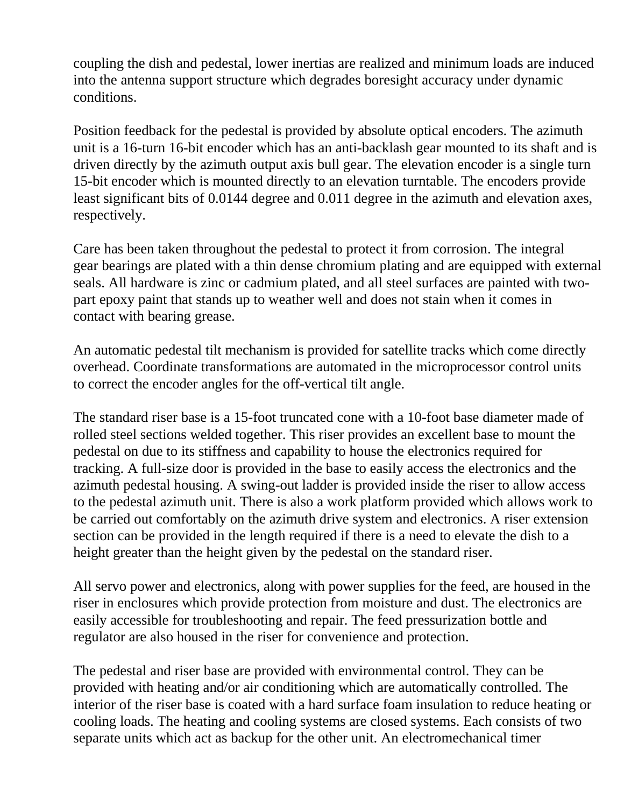coupling the dish and pedestal, lower inertias are realized and minimum loads are induced into the antenna support structure which degrades boresight accuracy under dynamic conditions.

Position feedback for the pedestal is provided by absolute optical encoders. The azimuth unit is a 16-turn 16-bit encoder which has an anti-backlash gear mounted to its shaft and is driven directly by the azimuth output axis bull gear. The elevation encoder is a single turn 15-bit encoder which is mounted directly to an elevation turntable. The encoders provide least significant bits of 0.0144 degree and 0.011 degree in the azimuth and elevation axes, respectively.

Care has been taken throughout the pedestal to protect it from corrosion. The integral gear bearings are plated with a thin dense chromium plating and are equipped with external seals. All hardware is zinc or cadmium plated, and all steel surfaces are painted with twopart epoxy paint that stands up to weather well and does not stain when it comes in contact with bearing grease.

An automatic pedestal tilt mechanism is provided for satellite tracks which come directly overhead. Coordinate transformations are automated in the microprocessor control units to correct the encoder angles for the off-vertical tilt angle.

The standard riser base is a 15-foot truncated cone with a 10-foot base diameter made of rolled steel sections welded together. This riser provides an excellent base to mount the pedestal on due to its stiffness and capability to house the electronics required for tracking. A full-size door is provided in the base to easily access the electronics and the azimuth pedestal housing. A swing-out ladder is provided inside the riser to allow access to the pedestal azimuth unit. There is also a work platform provided which allows work to be carried out comfortably on the azimuth drive system and electronics. A riser extension section can be provided in the length required if there is a need to elevate the dish to a height greater than the height given by the pedestal on the standard riser.

All servo power and electronics, along with power supplies for the feed, are housed in the riser in enclosures which provide protection from moisture and dust. The electronics are easily accessible for troubleshooting and repair. The feed pressurization bottle and regulator are also housed in the riser for convenience and protection.

The pedestal and riser base are provided with environmental control. They can be provided with heating and/or air conditioning which are automatically controlled. The interior of the riser base is coated with a hard surface foam insulation to reduce heating or cooling loads. The heating and cooling systems are closed systems. Each consists of two separate units which act as backup for the other unit. An electromechanical timer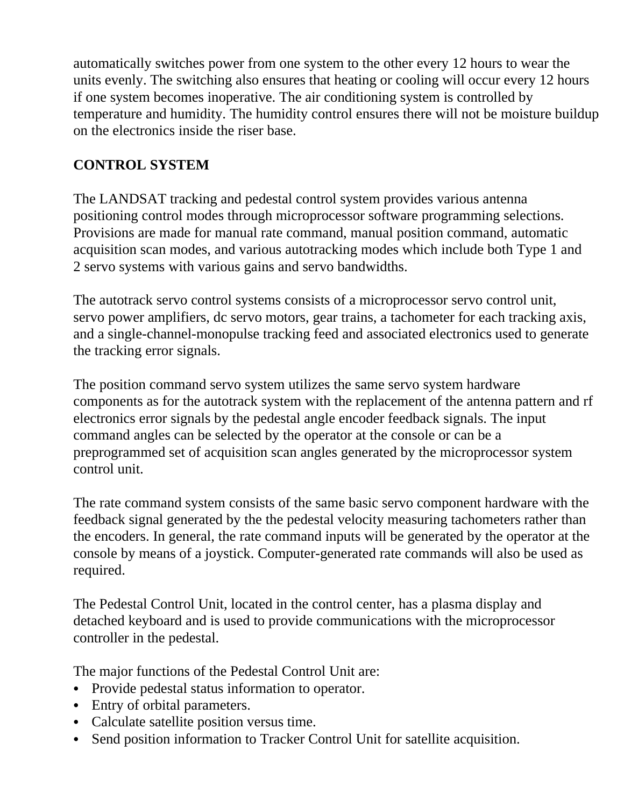automatically switches power from one system to the other every 12 hours to wear the units evenly. The switching also ensures that heating or cooling will occur every 12 hours if one system becomes inoperative. The air conditioning system is controlled by temperature and humidity. The humidity control ensures there will not be moisture buildup on the electronics inside the riser base.

# **CONTROL SYSTEM**

The LANDSAT tracking and pedestal control system provides various antenna positioning control modes through microprocessor software programming selections. Provisions are made for manual rate command, manual position command, automatic acquisition scan modes, and various autotracking modes which include both Type 1 and 2 servo systems with various gains and servo bandwidths.

The autotrack servo control systems consists of a microprocessor servo control unit, servo power amplifiers, dc servo motors, gear trains, a tachometer for each tracking axis, and a single-channel-monopulse tracking feed and associated electronics used to generate the tracking error signals.

The position command servo system utilizes the same servo system hardware components as for the autotrack system with the replacement of the antenna pattern and rf electronics error signals by the pedestal angle encoder feedback signals. The input command angles can be selected by the operator at the console or can be a preprogrammed set of acquisition scan angles generated by the microprocessor system control unit.

The rate command system consists of the same basic servo component hardware with the feedback signal generated by the the pedestal velocity measuring tachometers rather than the encoders. In general, the rate command inputs will be generated by the operator at the console by means of a joystick. Computer-generated rate commands will also be used as required.

The Pedestal Control Unit, located in the control center, has a plasma display and detached keyboard and is used to provide communications with the microprocessor controller in the pedestal.

The major functions of the Pedestal Control Unit are:

- Provide pedestal status information to operator.
- Entry of orbital parameters.
- Calculate satellite position versus time.
- Send position information to Tracker Control Unit for satellite acquisition.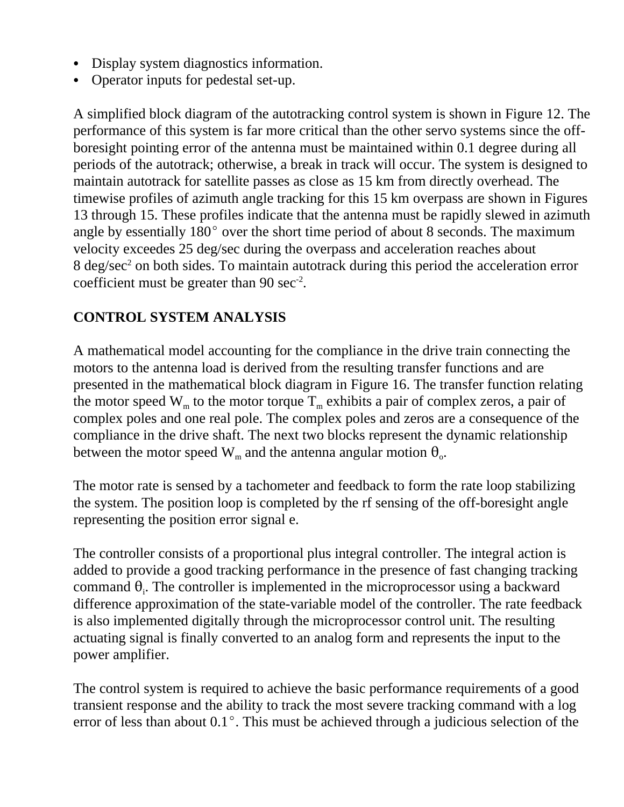- Display system diagnostics information.
- Operator inputs for pedestal set-up.

A simplified block diagram of the autotracking control system is shown in Figure 12. The performance of this system is far more critical than the other servo systems since the offboresight pointing error of the antenna must be maintained within 0.1 degree during all periods of the autotrack; otherwise, a break in track will occur. The system is designed to maintain autotrack for satellite passes as close as 15 km from directly overhead. The timewise profiles of azimuth angle tracking for this 15 km overpass are shown in Figures 13 through 15. These profiles indicate that the antenna must be rapidly slewed in azimuth angle by essentially  $180^{\circ}$  over the short time period of about 8 seconds. The maximum velocity exceedes 25 deg/sec during the overpass and acceleration reaches about  $8 \text{ deg/sec}^2$  on both sides. To maintain autotrack during this period the acceleration error coefficient must be greater than  $90 \text{ sec}^2$ .

# **CONTROL SYSTEM ANALYSIS**

A mathematical model accounting for the compliance in the drive train connecting the motors to the antenna load is derived from the resulting transfer functions and are presented in the mathematical block diagram in Figure 16. The transfer function relating the motor speed  $W_m$  to the motor torque  $T_m$  exhibits a pair of complex zeros, a pair of complex poles and one real pole. The complex poles and zeros are a consequence of the compliance in the drive shaft. The next two blocks represent the dynamic relationship between the motor speed  $\text{W}_{\text{m}}$  and the antenna angular motion  $\theta_{\text{o}}$ .

The motor rate is sensed by a tachometer and feedback to form the rate loop stabilizing the system. The position loop is completed by the rf sensing of the off-boresight angle representing the position error signal e.

The controller consists of a proportional plus integral controller. The integral action is added to provide a good tracking performance in the presence of fast changing tracking command  $\theta_i$ . The controller is implemented in the microprocessor using a backward difference approximation of the state-variable model of the controller. The rate feedback is also implemented digitally through the microprocessor control unit. The resulting actuating signal is finally converted to an analog form and represents the input to the power amplifier.

The control system is required to achieve the basic performance requirements of a good transient response and the ability to track the most severe tracking command with a log error of less than about  $0.1^{\circ}$ . This must be achieved through a judicious selection of the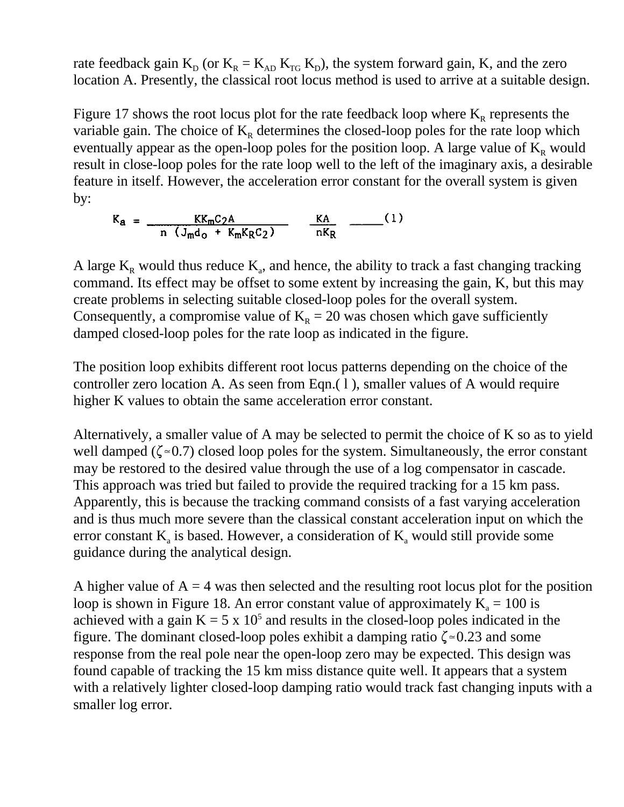rate feedback gain  $K_{D}$  (or  $K_{R} = K_{AD} K_{TG} K_{D}$ ), the system forward gain, K, and the zero location A. Presently, the classical root locus method is used to arrive at a suitable design.

Figure 17 shows the root locus plot for the rate feedback loop where  $K_R$  represents the variable gain. The choice of  $K_R$  determines the closed-loop poles for the rate loop which eventually appear as the open-loop poles for the position loop. A large value of  $K_R$  would result in close-loop poles for the rate loop well to the left of the imaginary axis, a desirable feature in itself. However, the acceleration error constant for the overall system is given by:

$$
K_{a} = \frac{KK_{m}C_{2}A}{n (J_{m}d_{o} + K_{m}K_{R}C_{2})} \qquad \frac{KA}{nK_{R}} \qquad (1)
$$

A large  $K_R$  would thus reduce  $K_a$ , and hence, the ability to track a fast changing tracking command. Its effect may be offset to some extent by increasing the gain, K, but this may create problems in selecting suitable closed-loop poles for the overall system. Consequently, a compromise value of  $K_R = 20$  was chosen which gave sufficiently damped closed-loop poles for the rate loop as indicated in the figure.

The position loop exhibits different root locus patterns depending on the choice of the controller zero location A. As seen from Eqn.( l ), smaller values of A would require higher K values to obtain the same acceleration error constant.

Alternatively, a smaller value of A may be selected to permit the choice of K so as to yield well damped ( $\zeta \approx 0.7$ ) closed loop poles for the system. Simultaneously, the error constant may be restored to the desired value through the use of a log compensator in cascade. This approach was tried but failed to provide the required tracking for a 15 km pass. Apparently, this is because the tracking command consists of a fast varying acceleration and is thus much more severe than the classical constant acceleration input on which the error constant  $K_a$  is based. However, a consideration of  $K_a$  would still provide some guidance during the analytical design.

A higher value of  $A = 4$  was then selected and the resulting root locus plot for the position loop is shown in Figure 18. An error constant value of approximately  $K_a = 100$  is achieved with a gain  $K = 5 \times 10^5$  and results in the closed-loop poles indicated in the figure. The dominant closed-loop poles exhibit a damping ratio  $\zeta \approx 0.23$  and some response from the real pole near the open-loop zero may be expected. This design was found capable of tracking the 15 km miss distance quite well. It appears that a system with a relatively lighter closed-loop damping ratio would track fast changing inputs with a smaller log error.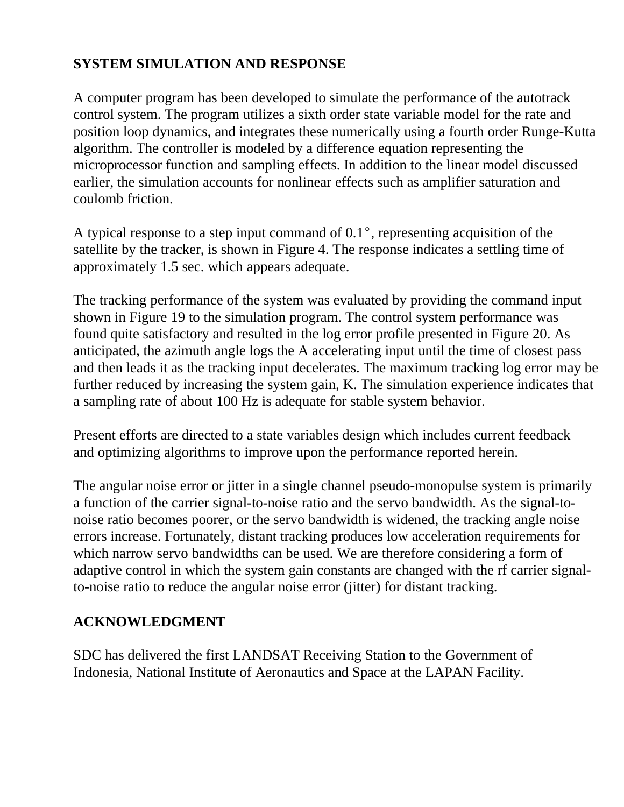# **SYSTEM SIMULATION AND RESPONSE**

A computer program has been developed to simulate the performance of the autotrack control system. The program utilizes a sixth order state variable model for the rate and position loop dynamics, and integrates these numerically using a fourth order Runge-Kutta algorithm. The controller is modeled by a difference equation representing the microprocessor function and sampling effects. In addition to the linear model discussed earlier, the simulation accounts for nonlinear effects such as amplifier saturation and coulomb friction.

A typical response to a step input command of  $0.1^{\circ}$ , representing acquisition of the satellite by the tracker, is shown in Figure 4. The response indicates a settling time of approximately 1.5 sec. which appears adequate.

The tracking performance of the system was evaluated by providing the command input shown in Figure 19 to the simulation program. The control system performance was found quite satisfactory and resulted in the log error profile presented in Figure 20. As anticipated, the azimuth angle logs the A accelerating input until the time of closest pass and then leads it as the tracking input decelerates. The maximum tracking log error may be further reduced by increasing the system gain, K. The simulation experience indicates that a sampling rate of about 100 Hz is adequate for stable system behavior.

Present efforts are directed to a state variables design which includes current feedback and optimizing algorithms to improve upon the performance reported herein.

The angular noise error or jitter in a single channel pseudo-monopulse system is primarily a function of the carrier signal-to-noise ratio and the servo bandwidth. As the signal-tonoise ratio becomes poorer, or the servo bandwidth is widened, the tracking angle noise errors increase. Fortunately, distant tracking produces low acceleration requirements for which narrow servo bandwidths can be used. We are therefore considering a form of adaptive control in which the system gain constants are changed with the rf carrier signalto-noise ratio to reduce the angular noise error (jitter) for distant tracking.

### **ACKNOWLEDGMENT**

SDC has delivered the first LANDSAT Receiving Station to the Government of Indonesia, National Institute of Aeronautics and Space at the LAPAN Facility.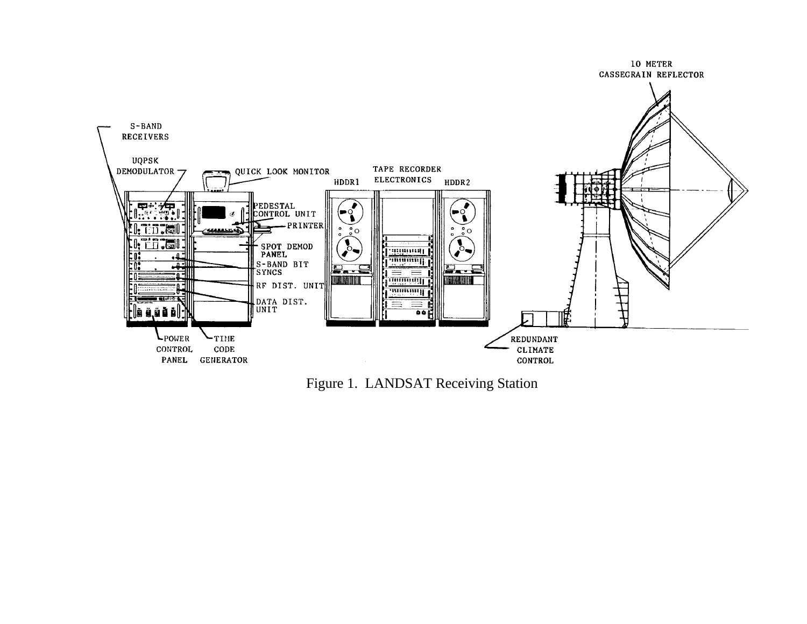

Figure 1. LANDSAT Receiving Station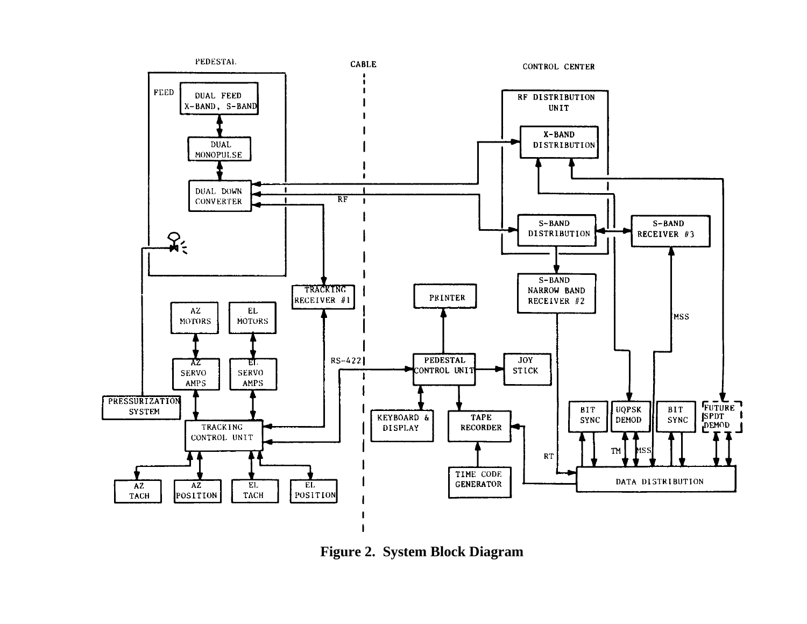

**Figure 2. System Block Diagram**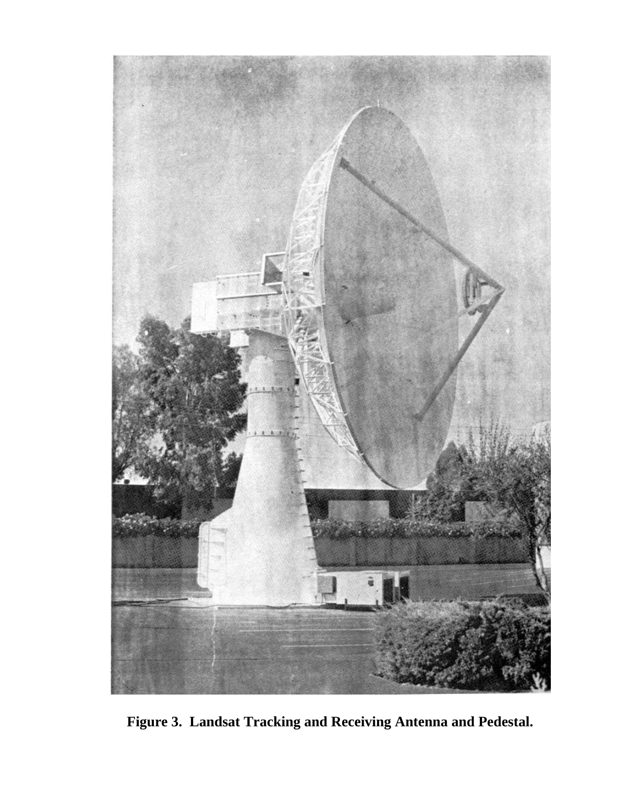

**Figure 3. Landsat Tracking and Receiving Antenna and Pedestal.**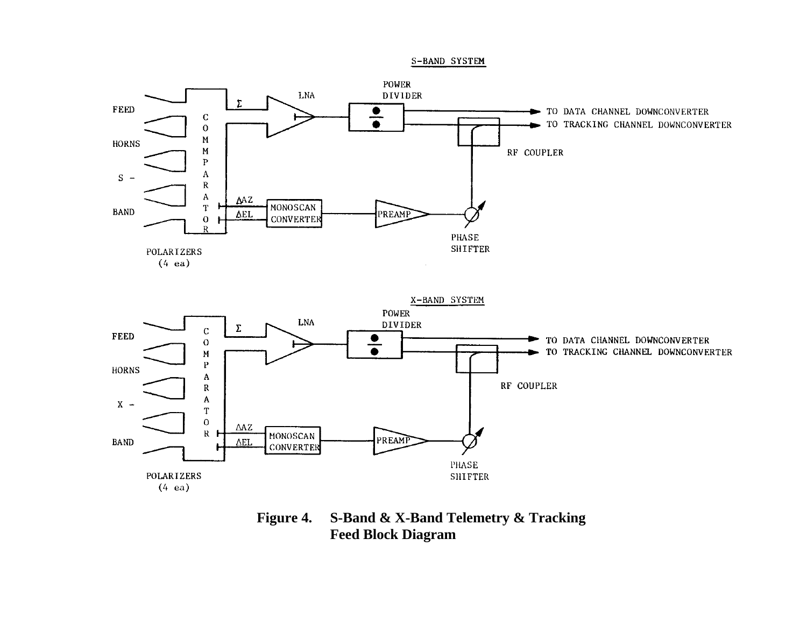

**Figure 4. S-Band & X-Band Telemetry & Tracking Feed Block Diagram**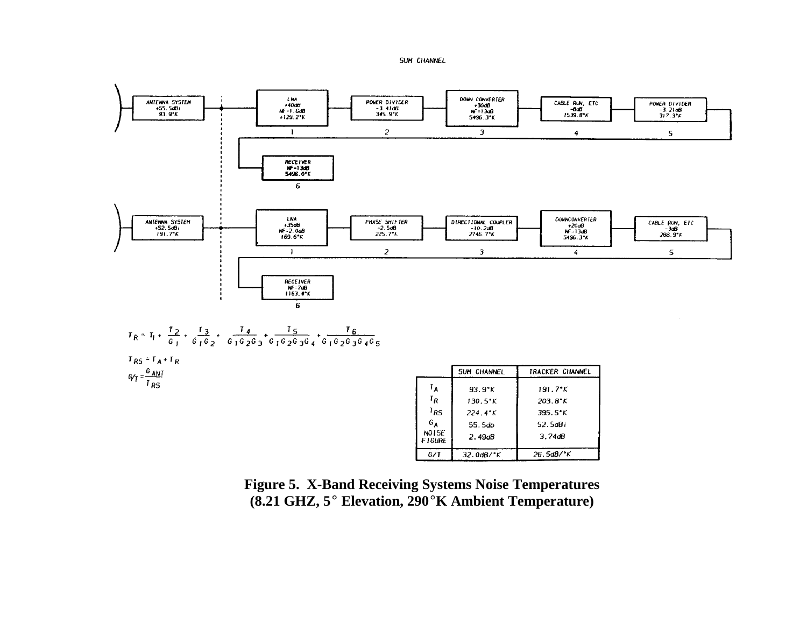#### **SUM CHANNEL**



**Figure 5. X-Band Receiving Systems Noise Temperatures (8.21 GHZ, 5° Elevation, 290°K Ambient Temperature)** 

 $G/T$ 

32.0dB/°K

26.5dB/°K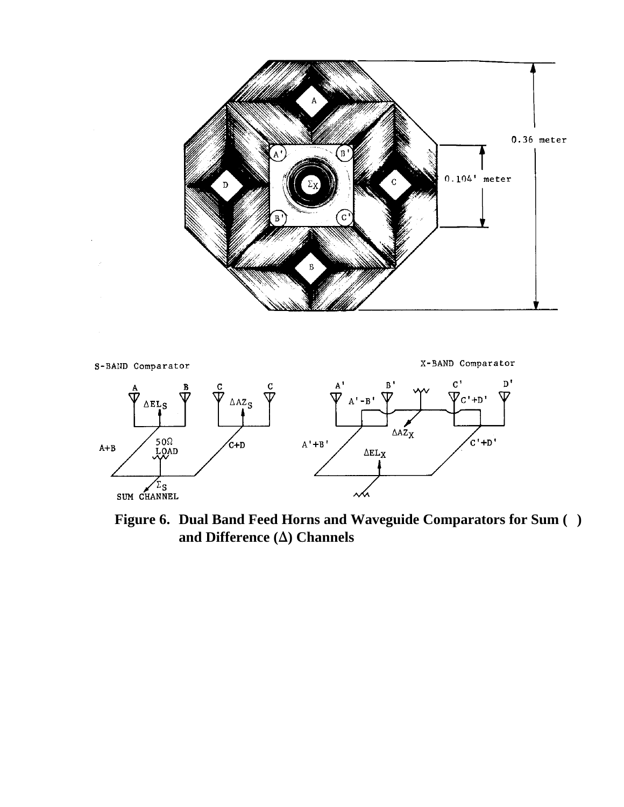



**Figure 6. Dual Band Feed Horns and Waveguide Comparators for Sum ( )** and Difference  $(\Delta)$  Channels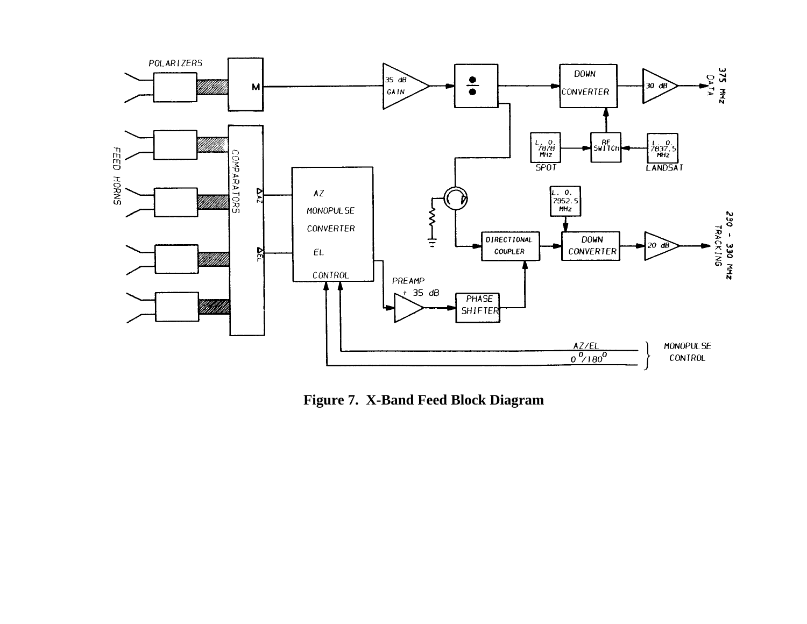

 **Figure 7. X-Band Feed Block Diagram**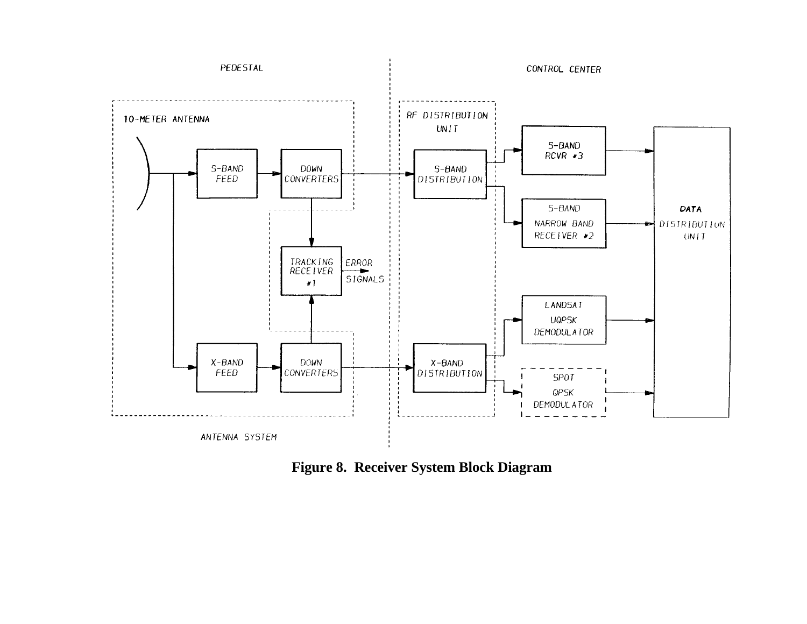

**Figure 8. Receiver System Block Diagram**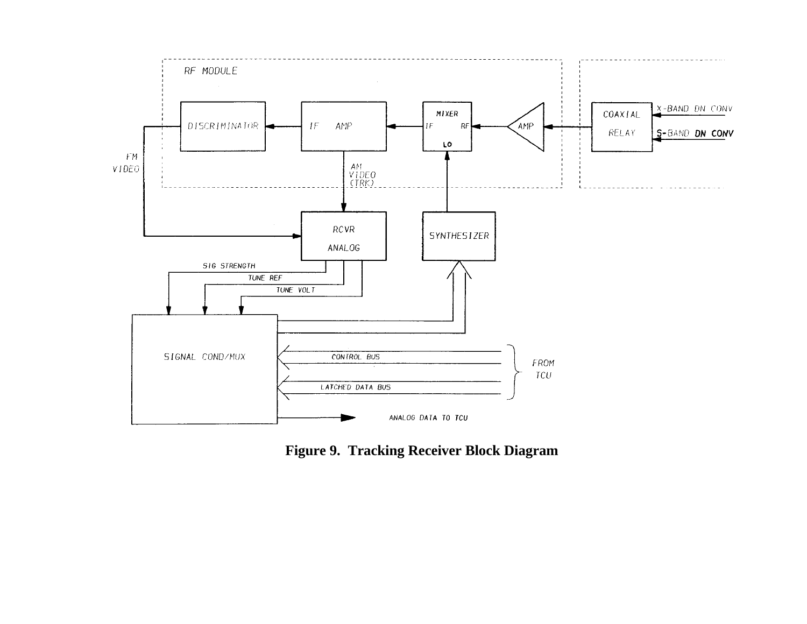

**Figure 9. Tracking Receiver Block Diagram**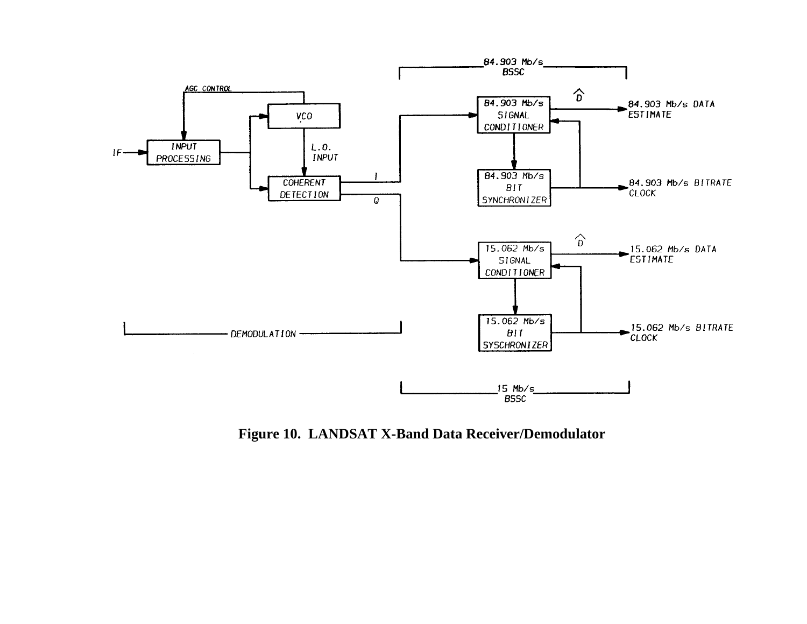

**Figure 10. LANDSAT X-Band Data Receiver/Demodulator**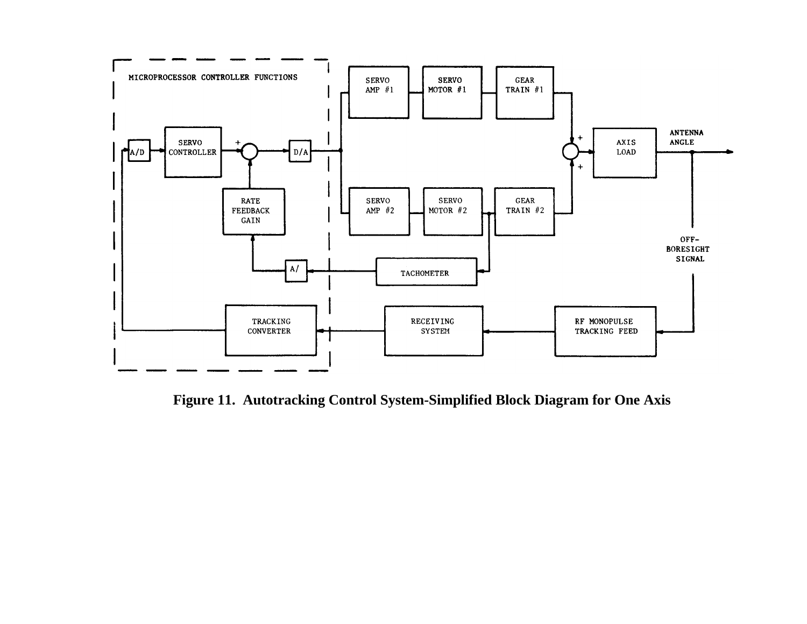

**Figure 11. Autotracking Control System-Simplified Block Diagram for One Axis**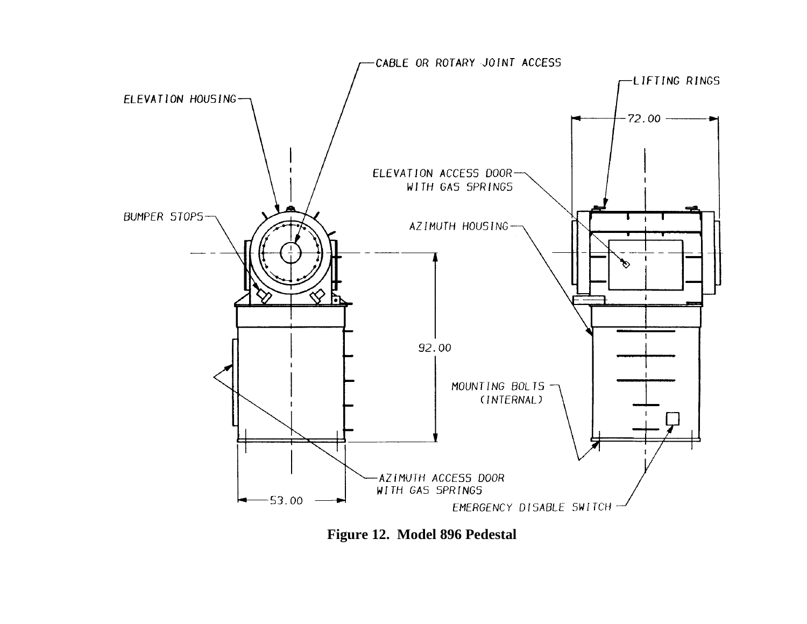

**Figure 12. Model 896 Pedestal**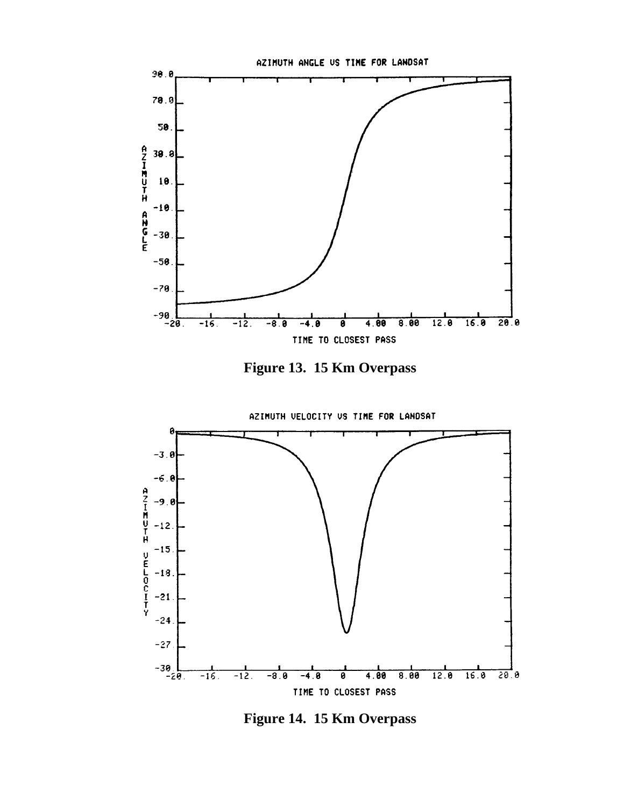

**Figure 13. 15 Km Overpass**



**Figure 14. 15 Km Overpass**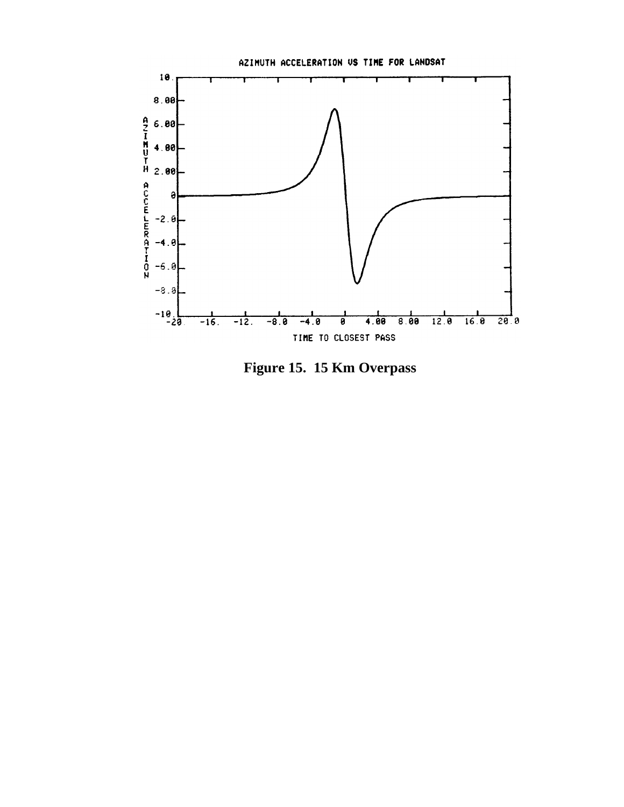

**Figure 15. 15 Km Overpass**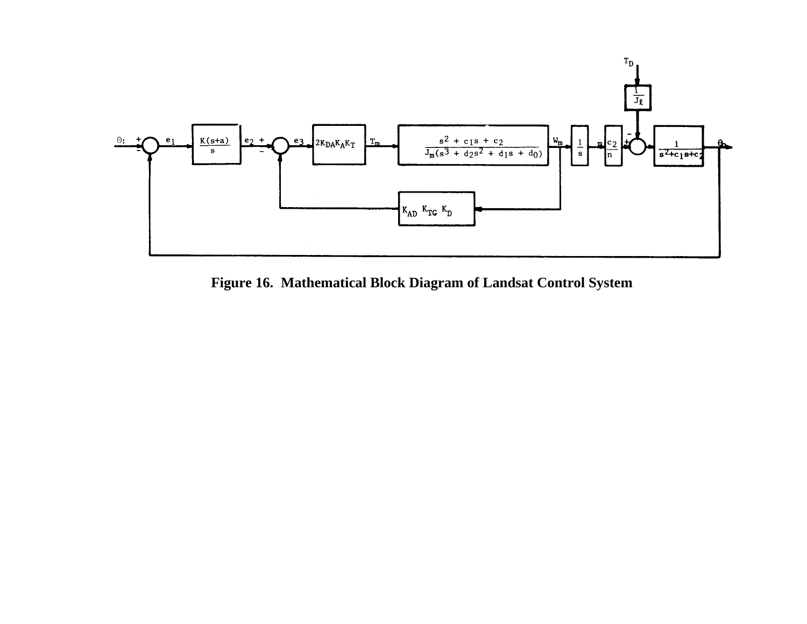

**Figure 16. Mathematical Block Diagram of Landsat Control System**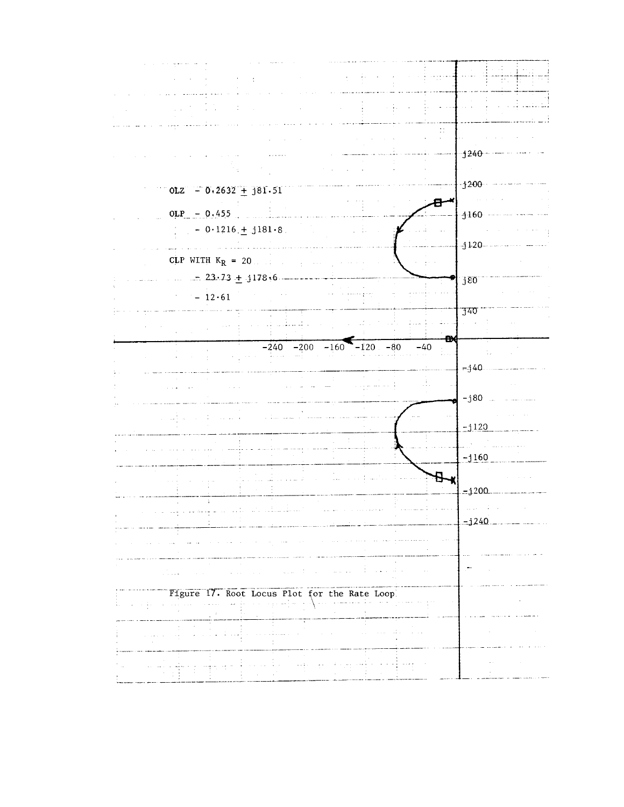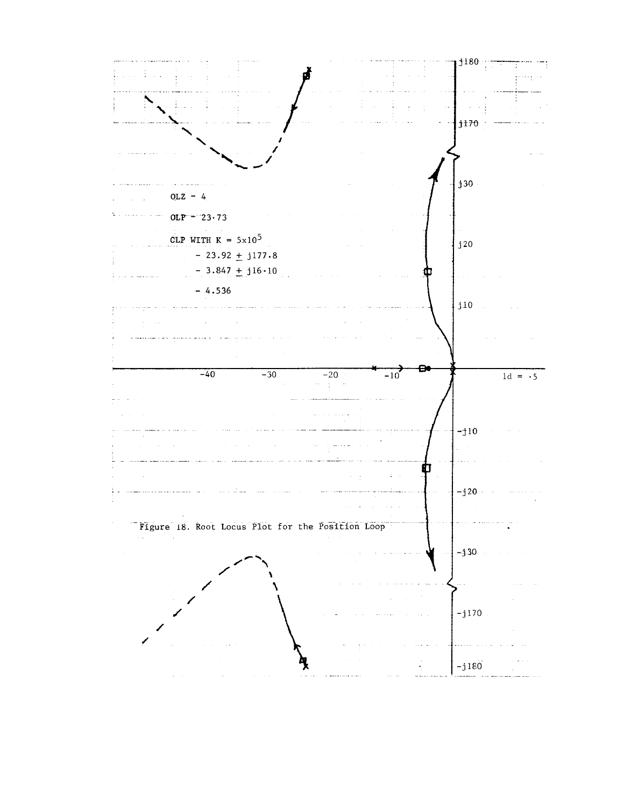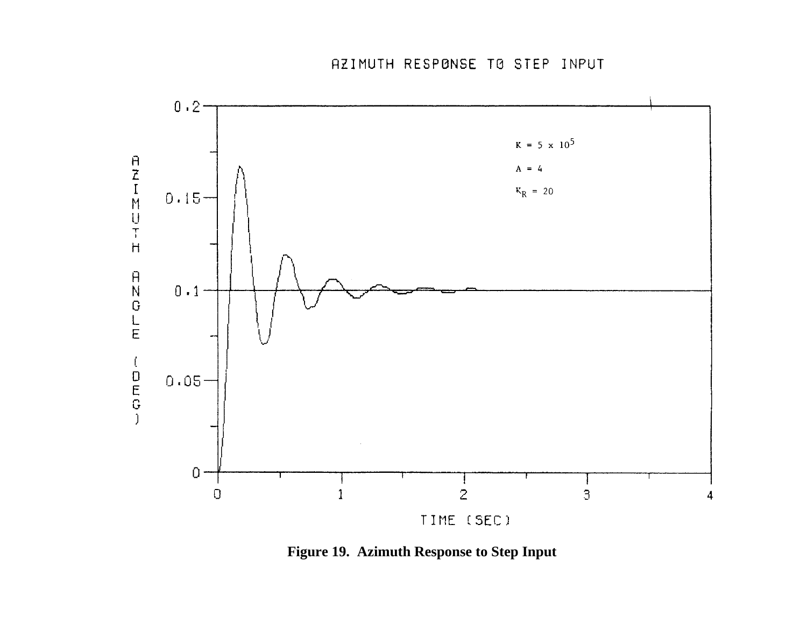

**Figure 19. Azimuth Response to Step Input**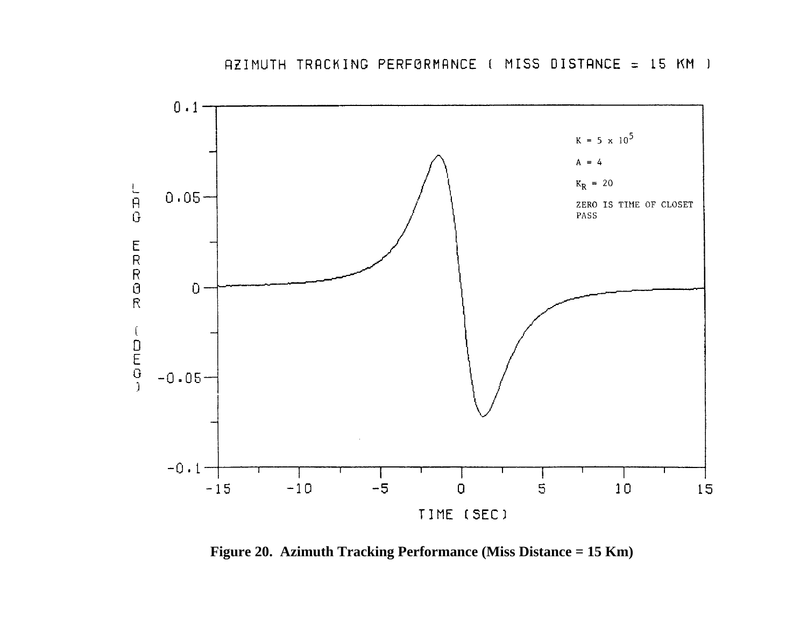

**Figure 20. Azimuth Tracking Performance (Miss Distance = 15 Km)**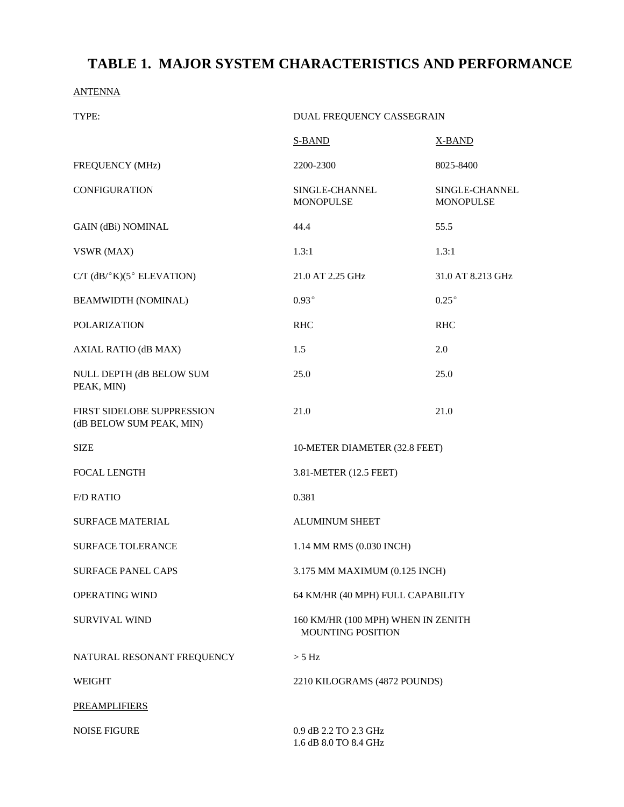# **TABLE 1. MAJOR SYSTEM CHARACTERISTICS AND PERFORMANCE**

ANTENNA

| TYPE:                                                  | DUAL FREQUENCY CASSEGRAIN                                      |                             |  |
|--------------------------------------------------------|----------------------------------------------------------------|-----------------------------|--|
|                                                        | S-BAND                                                         | <b>X-BAND</b>               |  |
| FREQUENCY (MHz)                                        | 2200-2300                                                      | 8025-8400                   |  |
| <b>CONFIGURATION</b>                                   | SINGLE-CHANNEL<br><b>MONOPULSE</b>                             | SINGLE-CHANNEL<br>MONOPULSE |  |
| <b>GAIN (dBi) NOMINAL</b>                              | 44.4                                                           | 55.5                        |  |
| VSWR (MAX)                                             | 1.3:1                                                          | 1.3:1                       |  |
| $C/T$ (dB/ $\degree$ K)(5 $\degree$ ELEVATION)         | 21.0 AT 2.25 GHz                                               | 31.0 AT 8.213 GHz           |  |
| <b>BEAMWIDTH (NOMINAL)</b>                             | $0.93^\circ$                                                   | $0.25^{\circ}$              |  |
| <b>POLARIZATION</b>                                    | <b>RHC</b>                                                     | <b>RHC</b>                  |  |
| AXIAL RATIO (dB MAX)                                   | 1.5                                                            | 2.0                         |  |
| NULL DEPTH (dB BELOW SUM<br>PEAK, MIN)                 | 25.0                                                           | 25.0                        |  |
| FIRST SIDELOBE SUPPRESSION<br>(dB BELOW SUM PEAK, MIN) | 21.0                                                           | 21.0                        |  |
| <b>SIZE</b>                                            | 10-METER DIAMETER (32.8 FEET)                                  |                             |  |
| <b>FOCAL LENGTH</b>                                    | 3.81-METER (12.5 FEET)                                         |                             |  |
| <b>F/D RATIO</b>                                       | 0.381                                                          |                             |  |
| <b>SURFACE MATERIAL</b>                                | <b>ALUMINUM SHEET</b>                                          |                             |  |
| <b>SURFACE TOLERANCE</b>                               | 1.14 MM RMS (0.030 INCH)                                       |                             |  |
| <b>SURFACE PANEL CAPS</b>                              | 3.175 MM MAXIMUM (0.125 INCH)                                  |                             |  |
| OPERATING WIND                                         | 64 KM/HR (40 MPH) FULL CAPABILITY                              |                             |  |
| <b>SURVIVAL WIND</b>                                   | 160 KM/HR (100 MPH) WHEN IN ZENITH<br><b>MOUNTING POSITION</b> |                             |  |
| NATURAL RESONANT FREQUENCY                             | $> 5$ Hz                                                       |                             |  |
| <b>WEIGHT</b>                                          | 2210 KILOGRAMS (4872 POUNDS)                                   |                             |  |
| <b>PREAMPLIFIERS</b>                                   |                                                                |                             |  |
| <b>NOISE FIGURE</b>                                    | 0.9 dB 2.2 TO 2.3 GHz<br>1.6 dB 8.0 TO 8.4 GHz                 |                             |  |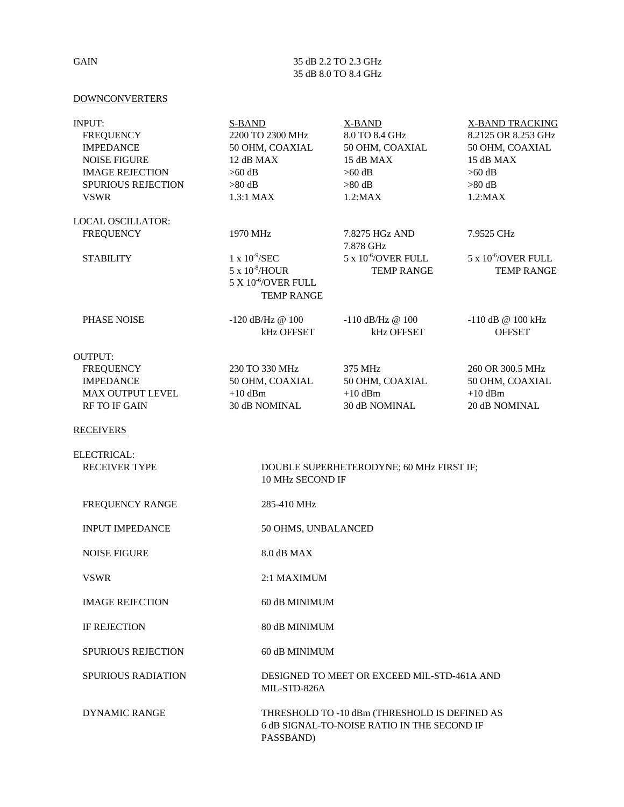#### GAIN 35 dB 2.2 TO 2.3 GHz 35 dB 8.0 TO 8.4 GHz

#### **DOWNCONVERTERS**

| INPUT:<br><b>FREQUENCY</b><br><b>IMPEDANCE</b><br><b>NOISE FIGURE</b><br><b>IMAGE REJECTION</b><br><b>SPURIOUS REJECTION</b><br><b>VSWR</b> | <b>S-BAND</b><br>2200 TO 2300 MHz<br>50 OHM, COAXIAL<br>12 dB MAX<br>$>60$ dB<br>$>80$ dB<br>1.3:1 MAX        | X-BAND<br>8.0 TO 8.4 GHz<br>50 OHM, COAXIAL<br>15 dB MAX<br>$>60$ dB<br>$>80\text{ dB}$<br>$1.2$ :MAX | <b>X-BAND TRACKING</b><br>8.2125 OR 8.253 GHz<br>50 OHM, COAXIAL<br>15 dB MAX<br>$>60$ dB<br>$>80$ dB<br>$1.2$ :MAX |  |
|---------------------------------------------------------------------------------------------------------------------------------------------|---------------------------------------------------------------------------------------------------------------|-------------------------------------------------------------------------------------------------------|---------------------------------------------------------------------------------------------------------------------|--|
| LOCAL OSCILLATOR:                                                                                                                           |                                                                                                               |                                                                                                       |                                                                                                                     |  |
| <b>FREQUENCY</b>                                                                                                                            | 1970 MHz                                                                                                      | 7.8275 HGz AND<br>7.878 GHz                                                                           | 7.9525 CHz                                                                                                          |  |
| <b>STABILITY</b>                                                                                                                            | $1 \times 10^{-9}$ /SEC<br>5 x 10 <sup>-8</sup> /HOUR<br>5 X 10 <sup>-6</sup> /OVER FULL<br><b>TEMP RANGE</b> | $5 \times 10^{6}$ /OVER FULL<br><b>TEMP RANGE</b>                                                     | $5 \times 10^{-6}$ /OVER FULL<br><b>TEMP RANGE</b>                                                                  |  |
| PHASE NOISE                                                                                                                                 | $-120$ dB/Hz @ $100$<br>kHz OFFSET                                                                            | $-110$ dB/Hz $@$ 100<br>kHz OFFSET                                                                    | $-110$ dB @ 100 kHz<br><b>OFFSET</b>                                                                                |  |
| <b>OUTPUT:</b><br><b>FREQUENCY</b><br><b>IMPEDANCE</b><br>MAX OUTPUT LEVEL<br><b>RF TO IF GAIN</b>                                          | 230 TO 330 MHz<br>50 OHM, COAXIAL<br>$+10$ dBm<br>30 dB NOMINAL                                               | 375 MHz<br>50 OHM, COAXIAL<br>$+10$ dBm<br>30 dB NOMINAL                                              | 260 OR 300.5 MHz<br>50 OHM, COAXIAL<br>$+10$ dBm<br>20 dB NOMINAL                                                   |  |
| <b>RECEIVERS</b>                                                                                                                            |                                                                                                               |                                                                                                       |                                                                                                                     |  |
| ELECTRICAL:<br><b>RECEIVER TYPE</b>                                                                                                         | 10 MHz SECOND IF                                                                                              | DOUBLE SUPERHETERODYNE; 60 MHz FIRST IF;                                                              |                                                                                                                     |  |
| FREQUENCY RANGE                                                                                                                             | 285-410 MHz                                                                                                   |                                                                                                       |                                                                                                                     |  |
| <b>INPUT IMPEDANCE</b>                                                                                                                      | 50 OHMS, UNBALANCED                                                                                           |                                                                                                       |                                                                                                                     |  |
| <b>NOISE FIGURE</b>                                                                                                                         | 8.0 dB MAX                                                                                                    |                                                                                                       |                                                                                                                     |  |
| <b>VSWR</b>                                                                                                                                 | 2:1 MAXIMUM                                                                                                   |                                                                                                       |                                                                                                                     |  |
| <b>IMAGE REJECTION</b>                                                                                                                      | 60 dB MINIMUM                                                                                                 |                                                                                                       |                                                                                                                     |  |
| <b>IF REJECTION</b>                                                                                                                         | 80 dB MINIMUM                                                                                                 |                                                                                                       |                                                                                                                     |  |
| <b>SPURIOUS REJECTION</b>                                                                                                                   | 60 dB MINIMUM                                                                                                 |                                                                                                       |                                                                                                                     |  |
| <b>SPURIOUS RADIATION</b>                                                                                                                   | MIL-STD-826A                                                                                                  | DESIGNED TO MEET OR EXCEED MIL-STD-461A AND                                                           |                                                                                                                     |  |
| <b>DYNAMIC RANGE</b>                                                                                                                        | PASSBAND)                                                                                                     | THRESHOLD TO -10 dBm (THRESHOLD IS DEFINED AS<br>6 dB SIGNAL-TO-NOISE RATIO IN THE SECOND IF          |                                                                                                                     |  |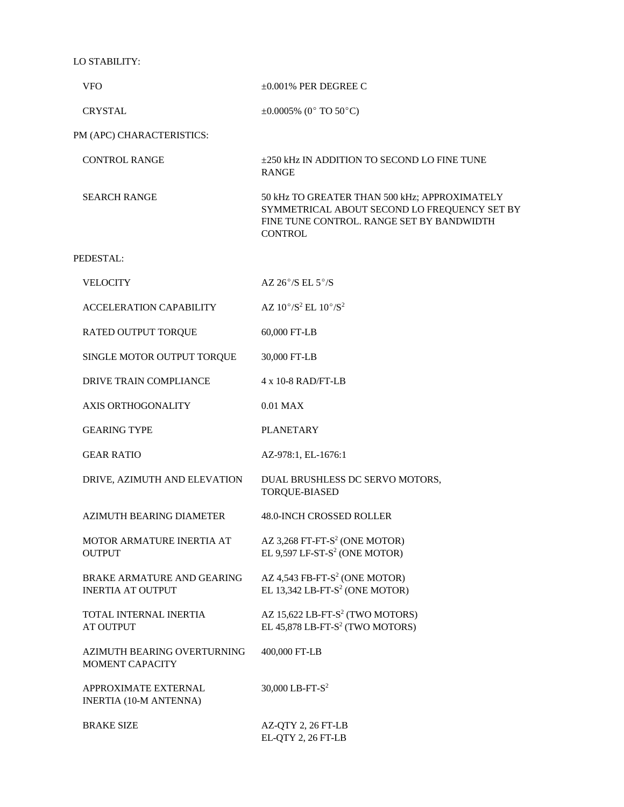LO STABILITY:

| <b>VFO</b>                                                    | $\pm 0.001\%$ PER DEGREE C                                                                                                                                   |
|---------------------------------------------------------------|--------------------------------------------------------------------------------------------------------------------------------------------------------------|
| <b>CRYSTAL</b>                                                | $\pm 0.0005\%$ (0° TO 50°C)                                                                                                                                  |
| PM (APC) CHARACTERISTICS:                                     |                                                                                                                                                              |
| <b>CONTROL RANGE</b>                                          | ±250 kHz IN ADDITION TO SECOND LO FINE TUNE<br><b>RANGE</b>                                                                                                  |
| <b>SEARCH RANGE</b>                                           | 50 kHz TO GREATER THAN 500 kHz; APPROXIMATELY<br>SYMMETRICAL ABOUT SECOND LO FREQUENCY SET BY<br>FINE TUNE CONTROL. RANGE SET BY BANDWIDTH<br><b>CONTROL</b> |
| PEDESTAL:                                                     |                                                                                                                                                              |
| <b>VELOCITY</b>                                               | AZ $26^{\circ}$ /S EL $5^{\circ}$ /S                                                                                                                         |
| <b>ACCELERATION CAPABILITY</b>                                | AZ $10^{\circ}/S^2$ EL $10^{\circ}/S^2$                                                                                                                      |
| RATED OUTPUT TORQUE                                           | 60,000 FT-LB                                                                                                                                                 |
| SINGLE MOTOR OUTPUT TORQUE                                    | 30,000 FT-LB                                                                                                                                                 |
| DRIVE TRAIN COMPLIANCE                                        | $4 \times 10 - 8$ RAD/FT-LB                                                                                                                                  |
| <b>AXIS ORTHOGONALITY</b>                                     | $0.01$ MAX                                                                                                                                                   |
| <b>GEARING TYPE</b>                                           | <b>PLANETARY</b>                                                                                                                                             |
| <b>GEAR RATIO</b>                                             | AZ-978:1, EL-1676:1                                                                                                                                          |
| DRIVE, AZIMUTH AND ELEVATION                                  | DUAL BRUSHLESS DC SERVO MOTORS,<br><b>TORQUE-BIASED</b>                                                                                                      |
| AZIMUTH BEARING DIAMETER                                      | <b>48.0-INCH CROSSED ROLLER</b>                                                                                                                              |
| MOTOR ARMATURE INERTIA AT<br><b>OUTPUT</b>                    | AZ 3,268 FT-FT-S <sup>2</sup> (ONE MOTOR)<br>EL 9,597 LF-ST- $S^2$ (ONE MOTOR)                                                                               |
| <b>BRAKE ARMATURE AND GEARING</b><br><b>INERTIA AT OUTPUT</b> | AZ 4,543 FB-FT- $S^2$ (ONE MOTOR)<br>EL 13,342 LB-FT-S <sup>2</sup> (ONE MOTOR)                                                                              |
| TOTAL INTERNAL INERTIA<br><b>AT OUTPUT</b>                    | AZ 15,622 LB-FT-S <sup>2</sup> (TWO MOTORS)<br>EL 45,878 LB-FT-S <sup>2</sup> (TWO MOTORS)                                                                   |
| AZIMUTH BEARING OVERTURNING<br>MOMENT CAPACITY                | 400,000 FT-LB                                                                                                                                                |
| <b>APPROXIMATE EXTERNAL</b><br><b>INERTIA (10-M ANTENNA)</b>  | 30,000 LB-FT- $S^2$                                                                                                                                          |
| <b>BRAKE SIZE</b>                                             | AZ-QTY 2, 26 FT-LB<br>EL-QTY 2, 26 FT-LB                                                                                                                     |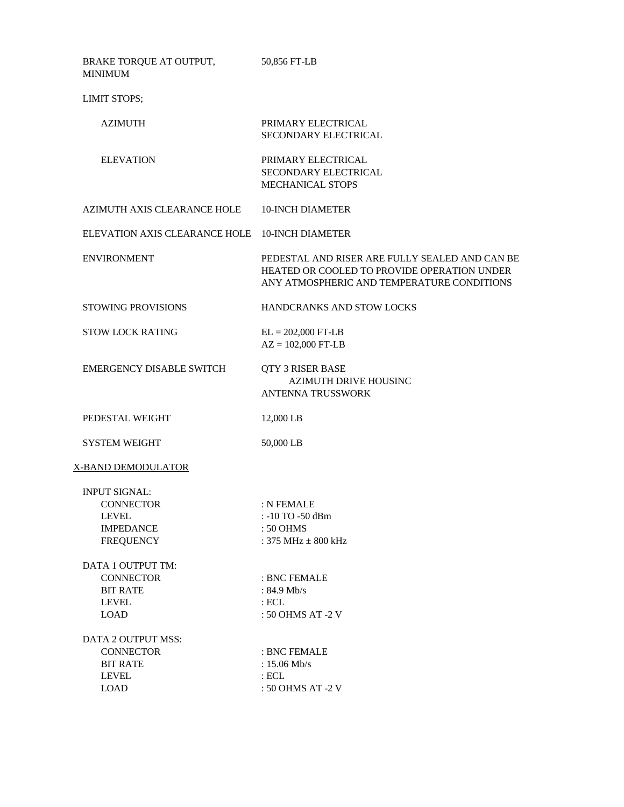| BRAKE TORQUE AT OUTPUT,<br><b>MINIMUM</b>                                                        | 50,856 FT-LB                                                                                                                                |
|--------------------------------------------------------------------------------------------------|---------------------------------------------------------------------------------------------------------------------------------------------|
| LIMIT STOPS;                                                                                     |                                                                                                                                             |
| <b>AZIMUTH</b>                                                                                   | PRIMARY ELECTRICAL<br>SECONDARY ELECTRICAL                                                                                                  |
| <b>ELEVATION</b>                                                                                 | PRIMARY ELECTRICAL<br>SECONDARY ELECTRICAL<br>MECHANICAL STOPS                                                                              |
| AZIMUTH AXIS CLEARANCE HOLE                                                                      | <b>10-INCH DIAMETER</b>                                                                                                                     |
| ELEVATION AXIS CLEARANCE HOLE                                                                    | <b>10-INCH DIAMETER</b>                                                                                                                     |
| <b>ENVIRONMENT</b>                                                                               | PEDESTAL AND RISER ARE FULLY SEALED AND CAN BE<br>HEATED OR COOLED TO PROVIDE OPERATION UNDER<br>ANY ATMOSPHERIC AND TEMPERATURE CONDITIONS |
| <b>STOWING PROVISIONS</b>                                                                        | <b>HANDCRANKS AND STOW LOCKS</b>                                                                                                            |
| <b>STOW LOCK RATING</b>                                                                          | $EL = 202,000$ FT-LB<br>$AZ = 102,000$ FT-LB                                                                                                |
| <b>EMERGENCY DISABLE SWITCH</b>                                                                  | QTY 3 RISER BASE<br><b>AZIMUTH DRIVE HOUSINC</b><br><b>ANTENNA TRUSSWORK</b>                                                                |
| PEDESTAL WEIGHT                                                                                  | 12,000 LB                                                                                                                                   |
| <b>SYSTEM WEIGHT</b>                                                                             | 50,000 LB                                                                                                                                   |
| <b>X-BAND DEMODULATOR</b>                                                                        |                                                                                                                                             |
| <b>INPUT SIGNAL:</b><br><b>CONNECTOR</b><br><b>LEVEL</b><br><b>IMPEDANCE</b><br><b>FREQUENCY</b> | : N FEMALE<br>: -10 TO -50 dBm<br>: 50 OHMS<br>: 375 MHz $\pm$ 800 kHz                                                                      |
| DATA 1 OUTPUT TM:<br><b>CONNECTOR</b><br><b>BIT RATE</b><br><b>LEVEL</b><br><b>LOAD</b>          | : BNC FEMALE<br>: $84.9$ Mb/s<br>$:$ ECL<br>: 50 OHMS AT -2 V                                                                               |
| DATA 2 OUTPUT MSS:<br><b>CONNECTOR</b><br><b>BIT RATE</b><br><b>LEVEL</b><br><b>LOAD</b>         | : BNC FEMALE<br>: $15.06$ Mb/s<br>$:$ ECL<br>: 50 OHMS AT -2 V                                                                              |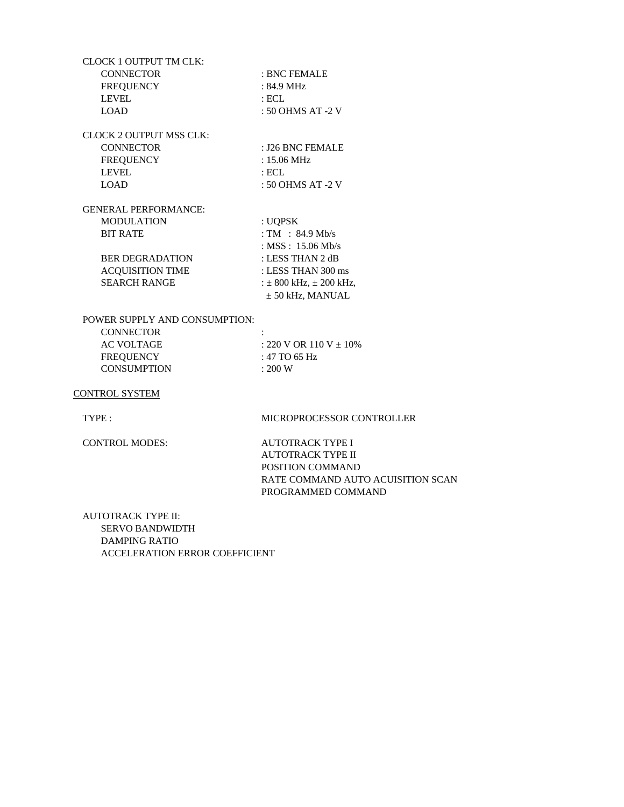| CLOCK 1 OUTPUT TM CLK:      |                               |
|-----------------------------|-------------------------------|
| <b>CONNECTOR</b>            | : BNC FEMALE                  |
| <b>FREQUENCY</b>            | $: 84.9$ MHz                  |
| <b>LEVEL</b>                | : ECL                         |
| LOAD                        | : 50 OHMS AT -2 V             |
| CLOCK 2 OUTPUT MSS CLK:     |                               |
| <b>CONNECTOR</b>            | : J26 BNC FEMALE              |
| <b>FREQUENCY</b>            | : 15.06 MHz                   |
| <b>LEVEL</b>                | : ECL                         |
| LOAD                        | : 50 OHMS AT -2 V             |
| <b>GENERAL PERFORMANCE:</b> |                               |
| <b>MODULATION</b>           | : UQPSK                       |
| <b>BIT RATE</b>             | : TM : $84.9$ Mb/s            |
|                             | : MSS : $15.06$ Mb/s          |
| <b>BER DEGRADATION</b>      | : LESS THAN 2 dB              |
| <b>ACQUISITION TIME</b>     | : LESS THAN 300 ms            |
| <b>SEARCH RANGE</b>         | $\pm 800$ kHz, $\pm 200$ kHz, |
|                             | $\pm$ 50 kHz, MANUAL          |
|                             |                               |

POWER SUPPLY AND CONSUMPTION:

| <b>CONNECTOR</b>   | ٠<br>٠                          |
|--------------------|---------------------------------|
| AC VOLTAGE         | $\div$ 220 V OR 110 V $\pm$ 10% |
| FREQUENCY          | : 47 TO 65 Hz                   |
| <b>CONSUMPTION</b> | $\pm 200 \text{ W}$             |

CONTROL SYSTEM

TYPE : MICROPROCESSOR CONTROLLER

CONTROL MODES: AUTOTRACK TYPE I AUTOTRACK TYPE II POSITION COMMAND RATE COMMAND AUTO ACUISITION SCAN PROGRAMMED COMMAND

AUTOTRACK TYPE II: SERVO BANDWIDTH DAMPING RATIO ACCELERATION ERROR COEFFICIENT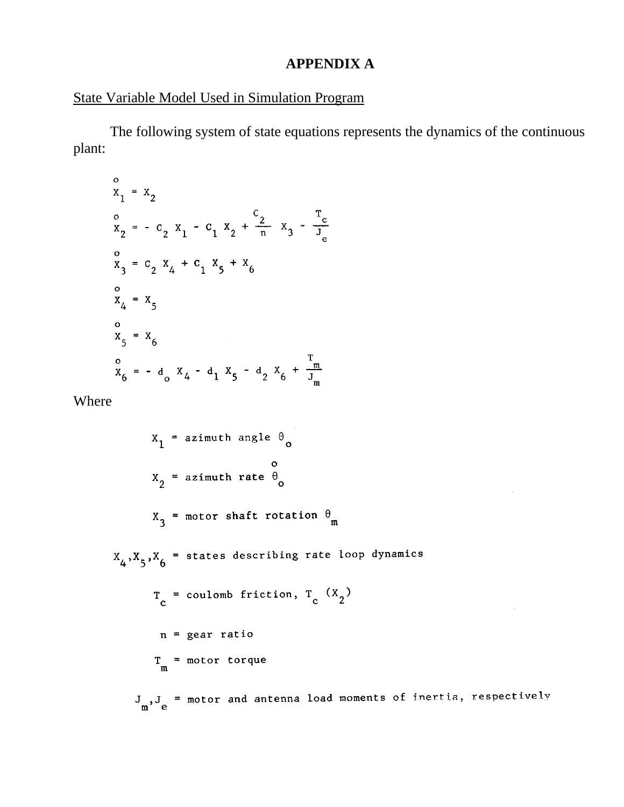### **APPENDIX A**

#### State Variable Model Used in Simulation Program

The following system of state equations represents the dynamics of the continuous plant:

$$
x_{1} = x_{2}
$$
\n
$$
x_{2} = -c_{2} x_{1} - c_{1} x_{2} + \frac{c_{2}}{n} x_{3} - \frac{r_{c}}{r_{e}}
$$
\n
$$
x_{3} = c_{2} x_{4} + c_{1} x_{5} + x_{6}
$$
\n
$$
x_{4} = x_{5}
$$
\n
$$
x_{5} = x_{6}
$$
\n
$$
x_{6} = -d_{0} x_{4} - d_{1} x_{5} - d_{2} x_{6} + \frac{r_{m}}{r_{m}}
$$

Where

 $X_1$  = azimuth angle  $\theta_0$  $x_2 =$  azimuth rate  $\theta_o$  $X_3$  = motor shaft rotation  $\theta_m$  $X_4, X_5, X_6$  = states describing rate loop dynamics  $T_c$  = coulomb friction,  $T_c$  (X<sub>2</sub>)  $n = gear ratio$  $T_m$  = motor torque  $J_n$ ,  $J_e$  = motor and antenna load moments of inertia, respectively